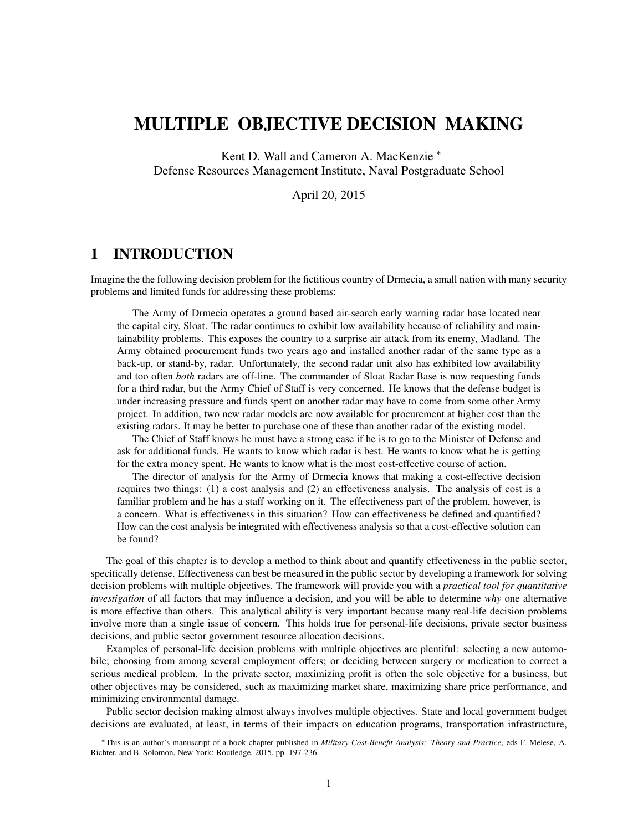# MULTIPLE OBJECTIVE DECISION MAKING

Kent D. Wall and Cameron A. MacKenzie <sup>∗</sup> Defense Resources Management Institute, Naval Postgraduate School

April 20, 2015

## 1 INTRODUCTION

Imagine the the following decision problem for the fictitious country of Drmecia, a small nation with many security problems and limited funds for addressing these problems:

The Army of Drmecia operates a ground based air-search early warning radar base located near the capital city, Sloat. The radar continues to exhibit low availability because of reliability and maintainability problems. This exposes the country to a surprise air attack from its enemy, Madland. The Army obtained procurement funds two years ago and installed another radar of the same type as a back-up, or stand-by, radar. Unfortunately, the second radar unit also has exhibited low availability and too often *both* radars are off-line. The commander of Sloat Radar Base is now requesting funds for a third radar, but the Army Chief of Staff is very concerned. He knows that the defense budget is under increasing pressure and funds spent on another radar may have to come from some other Army project. In addition, two new radar models are now available for procurement at higher cost than the existing radars. It may be better to purchase one of these than another radar of the existing model.

The Chief of Staff knows he must have a strong case if he is to go to the Minister of Defense and ask for additional funds. He wants to know which radar is best. He wants to know what he is getting for the extra money spent. He wants to know what is the most cost-effective course of action.

The director of analysis for the Army of Drmecia knows that making a cost-effective decision requires two things: (1) a cost analysis and (2) an effectiveness analysis. The analysis of cost is a familiar problem and he has a staff working on it. The effectiveness part of the problem, however, is a concern. What is effectiveness in this situation? How can effectiveness be defined and quantified? How can the cost analysis be integrated with effectiveness analysis so that a cost-effective solution can be found?

The goal of this chapter is to develop a method to think about and quantify effectiveness in the public sector, specifically defense. Effectiveness can best be measured in the public sector by developing a framework for solving decision problems with multiple objectives. The framework will provide you with a *practical tool for quantitative investigation* of all factors that may influence a decision, and you will be able to determine *why* one alternative is more effective than others. This analytical ability is very important because many real-life decision problems involve more than a single issue of concern. This holds true for personal-life decisions, private sector business decisions, and public sector government resource allocation decisions.

Examples of personal-life decision problems with multiple objectives are plentiful: selecting a new automobile; choosing from among several employment offers; or deciding between surgery or medication to correct a serious medical problem. In the private sector, maximizing profit is often the sole objective for a business, but other objectives may be considered, such as maximizing market share, maximizing share price performance, and minimizing environmental damage.

Public sector decision making almost always involves multiple objectives. State and local government budget decisions are evaluated, at least, in terms of their impacts on education programs, transportation infrastructure,

<sup>∗</sup>This is an author's manuscript of a book chapter published in *Military Cost-Benefit Analysis: Theory and Practice*, eds F. Melese, A. Richter, and B. Solomon, New York: Routledge, 2015, pp. 197-236.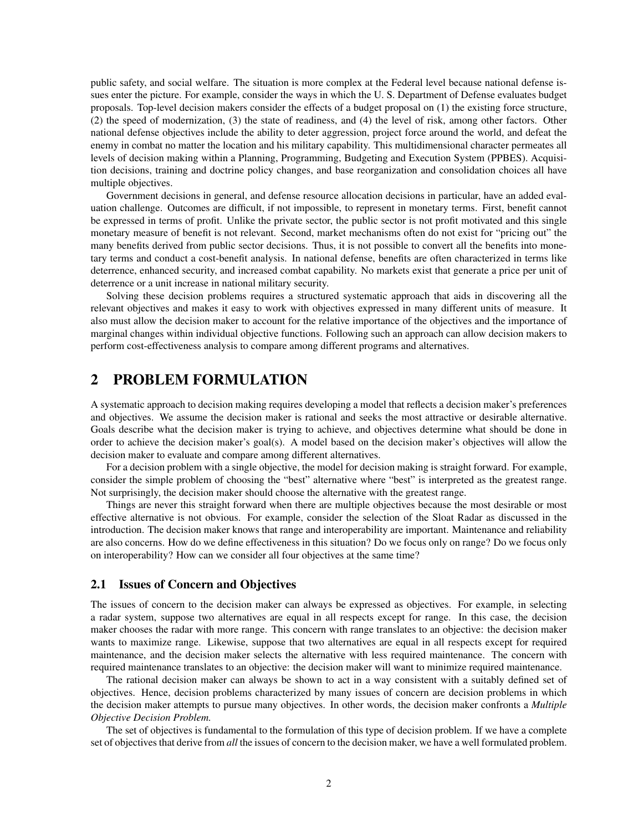public safety, and social welfare. The situation is more complex at the Federal level because national defense issues enter the picture. For example, consider the ways in which the U. S. Department of Defense evaluates budget proposals. Top-level decision makers consider the effects of a budget proposal on (1) the existing force structure, (2) the speed of modernization, (3) the state of readiness, and (4) the level of risk, among other factors. Other national defense objectives include the ability to deter aggression, project force around the world, and defeat the enemy in combat no matter the location and his military capability. This multidimensional character permeates all levels of decision making within a Planning, Programming, Budgeting and Execution System (PPBES). Acquisition decisions, training and doctrine policy changes, and base reorganization and consolidation choices all have multiple objectives.

Government decisions in general, and defense resource allocation decisions in particular, have an added evaluation challenge. Outcomes are difficult, if not impossible, to represent in monetary terms. First, benefit cannot be expressed in terms of profit. Unlike the private sector, the public sector is not profit motivated and this single monetary measure of benefit is not relevant. Second, market mechanisms often do not exist for "pricing out" the many benefits derived from public sector decisions. Thus, it is not possible to convert all the benefits into monetary terms and conduct a cost-benefit analysis. In national defense, benefits are often characterized in terms like deterrence, enhanced security, and increased combat capability. No markets exist that generate a price per unit of deterrence or a unit increase in national military security.

Solving these decision problems requires a structured systematic approach that aids in discovering all the relevant objectives and makes it easy to work with objectives expressed in many different units of measure. It also must allow the decision maker to account for the relative importance of the objectives and the importance of marginal changes within individual objective functions. Following such an approach can allow decision makers to perform cost-effectiveness analysis to compare among different programs and alternatives.

## 2 PROBLEM FORMULATION

A systematic approach to decision making requires developing a model that reflects a decision maker's preferences and objectives. We assume the decision maker is rational and seeks the most attractive or desirable alternative. Goals describe what the decision maker is trying to achieve, and objectives determine what should be done in order to achieve the decision maker's goal(s). A model based on the decision maker's objectives will allow the decision maker to evaluate and compare among different alternatives.

For a decision problem with a single objective, the model for decision making is straight forward. For example, consider the simple problem of choosing the "best" alternative where "best" is interpreted as the greatest range. Not surprisingly, the decision maker should choose the alternative with the greatest range.

Things are never this straight forward when there are multiple objectives because the most desirable or most effective alternative is not obvious. For example, consider the selection of the Sloat Radar as discussed in the introduction. The decision maker knows that range and interoperability are important. Maintenance and reliability are also concerns. How do we define effectiveness in this situation? Do we focus only on range? Do we focus only on interoperability? How can we consider all four objectives at the same time?

### 2.1 Issues of Concern and Objectives

The issues of concern to the decision maker can always be expressed as objectives. For example, in selecting a radar system, suppose two alternatives are equal in all respects except for range. In this case, the decision maker chooses the radar with more range. This concern with range translates to an objective: the decision maker wants to maximize range. Likewise, suppose that two alternatives are equal in all respects except for required maintenance, and the decision maker selects the alternative with less required maintenance. The concern with required maintenance translates to an objective: the decision maker will want to minimize required maintenance.

The rational decision maker can always be shown to act in a way consistent with a suitably defined set of objectives. Hence, decision problems characterized by many issues of concern are decision problems in which the decision maker attempts to pursue many objectives. In other words, the decision maker confronts a *Multiple Objective Decision Problem.*

The set of objectives is fundamental to the formulation of this type of decision problem. If we have a complete set of objectives that derive from *all* the issues of concern to the decision maker, we have a well formulated problem.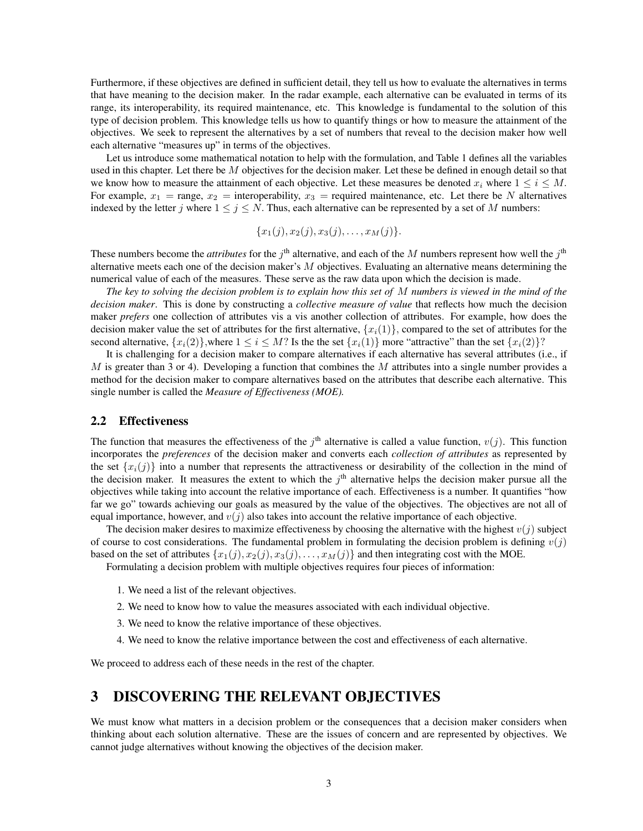Furthermore, if these objectives are defined in sufficient detail, they tell us how to evaluate the alternatives in terms that have meaning to the decision maker. In the radar example, each alternative can be evaluated in terms of its range, its interoperability, its required maintenance, etc. This knowledge is fundamental to the solution of this type of decision problem. This knowledge tells us how to quantify things or how to measure the attainment of the objectives. We seek to represent the alternatives by a set of numbers that reveal to the decision maker how well each alternative "measures up" in terms of the objectives.

Let us introduce some mathematical notation to help with the formulation, and Table 1 defines all the variables used in this chapter. Let there be M objectives for the decision maker. Let these be defined in enough detail so that we know how to measure the attainment of each objective. Let these measures be denoted  $x_i$  where  $1 \le i \le M$ . For example,  $x_1$  = range,  $x_2$  = interoperability,  $x_3$  = required maintenance, etc. Let there be N alternatives indexed by the letter j where  $1 \le j \le N$ . Thus, each alternative can be represented by a set of M numbers:

$$
\{x_1(j), x_2(j), x_3(j), \ldots, x_M(j)\}.
$$

These numbers become the *attributes* for the  $j<sup>th</sup>$  alternative, and each of the M numbers represent how well the  $j<sup>th</sup>$ alternative meets each one of the decision maker's  $M$  objectives. Evaluating an alternative means determining the numerical value of each of the measures. These serve as the raw data upon which the decision is made.

*The key to solving the decision problem is to explain how this set of* M *numbers is viewed in the mind of the decision maker*. This is done by constructing a *collective measure of value* that reflects how much the decision maker *prefers* one collection of attributes vis a vis another collection of attributes. For example, how does the decision maker value the set of attributes for the first alternative,  ${x_i(1)}$ , compared to the set of attributes for the second alternative,  $\{x_i(2)\}$ , where  $1 \le i \le M$ ? Is the the set  $\{x_i(1)\}$  more "attractive" than the set  $\{x_i(2)\}$ ?

It is challenging for a decision maker to compare alternatives if each alternative has several attributes (i.e., if M is greater than 3 or 4). Developing a function that combines the M attributes into a single number provides a method for the decision maker to compare alternatives based on the attributes that describe each alternative. This single number is called the *Measure of Effectiveness (MOE).*

### 2.2 Effectiveness

The function that measures the effectiveness of the j<sup>th</sup> alternative is called a value function,  $v(j)$ . This function incorporates the *preferences* of the decision maker and converts each *collection of attributes* as represented by the set  ${x_i(j)}$  into a number that represents the attractiveness or desirability of the collection in the mind of the decision maker. It measures the extent to which the  $j<sup>th</sup>$  alternative helps the decision maker pursue all the objectives while taking into account the relative importance of each. Effectiveness is a number. It quantifies "how far we go" towards achieving our goals as measured by the value of the objectives. The objectives are not all of equal importance, however, and  $v(j)$  also takes into account the relative importance of each objective.

The decision maker desires to maximize effectiveness by choosing the alternative with the highest  $v(j)$  subject of course to cost considerations. The fundamental problem in formulating the decision problem is defining  $v(j)$ based on the set of attributes  $\{x_1(j), x_2(j), x_3(j), \ldots, x_M(j)\}\$  and then integrating cost with the MOE.

Formulating a decision problem with multiple objectives requires four pieces of information:

- 1. We need a list of the relevant objectives.
- 2. We need to know how to value the measures associated with each individual objective.
- 3. We need to know the relative importance of these objectives.
- 4. We need to know the relative importance between the cost and effectiveness of each alternative.

We proceed to address each of these needs in the rest of the chapter.

# 3 DISCOVERING THE RELEVANT OBJECTIVES

We must know what matters in a decision problem or the consequences that a decision maker considers when thinking about each solution alternative. These are the issues of concern and are represented by objectives. We cannot judge alternatives without knowing the objectives of the decision maker.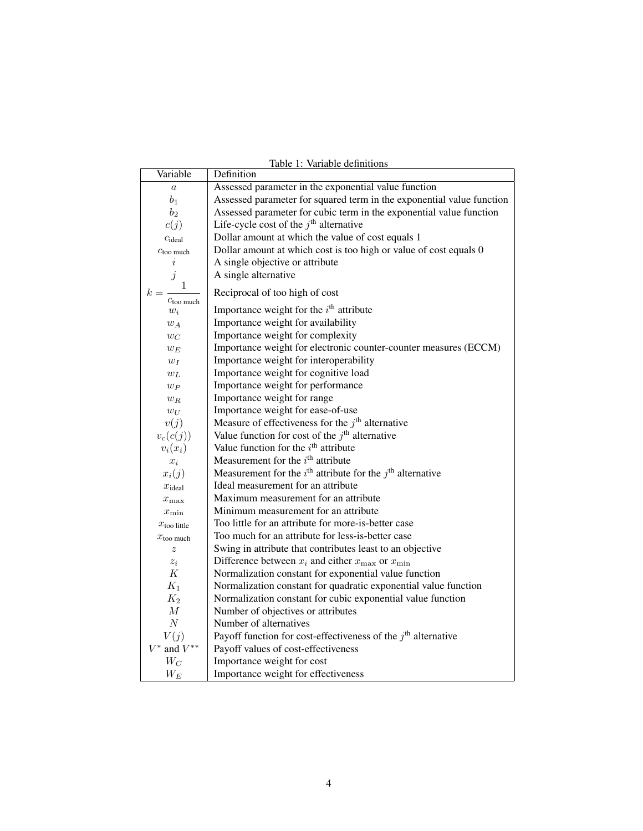| Variable                | Definition                                                                        |  |  |  |  |
|-------------------------|-----------------------------------------------------------------------------------|--|--|--|--|
| $\overline{a}$          | Assessed parameter in the exponential value function                              |  |  |  |  |
| $b_1$                   | Assessed parameter for squared term in the exponential value function             |  |  |  |  |
| $b_2$                   | Assessed parameter for cubic term in the exponential value function               |  |  |  |  |
| c(j)                    | Life-cycle cost of the $jth$ alternative                                          |  |  |  |  |
| $c_{ideal}$             | Dollar amount at which the value of cost equals 1                                 |  |  |  |  |
| $ctoo$ much             | Dollar amount at which cost is too high or value of cost equals 0                 |  |  |  |  |
| $\it i$                 | A single objective or attribute                                                   |  |  |  |  |
| $\boldsymbol{j}$        | A single alternative                                                              |  |  |  |  |
| 1<br>$k =$              | Reciprocal of too high of cost                                                    |  |  |  |  |
| $ctoo$ much             |                                                                                   |  |  |  |  |
| $w_i$                   | Importance weight for the $i$ <sup>th</sup> attribute                             |  |  |  |  |
| $w_A$                   | Importance weight for availability                                                |  |  |  |  |
| $w_C$                   | Importance weight for complexity                                                  |  |  |  |  |
| $w_E$                   | Importance weight for electronic counter-counter measures (ECCM)                  |  |  |  |  |
| $w_I$                   | Importance weight for interoperability                                            |  |  |  |  |
| $w_L$                   | Importance weight for cognitive load                                              |  |  |  |  |
| $\mathfrak{w}_P$        | Importance weight for performance                                                 |  |  |  |  |
| $w_R$                   | Importance weight for range                                                       |  |  |  |  |
| $w_U$                   | Importance weight for ease-of-use                                                 |  |  |  |  |
| v(j)                    | Measure of effectiveness for the $jth$ alternative                                |  |  |  |  |
| $v_c(c(j))$             | Value function for cost of the $jth$ alternative                                  |  |  |  |  |
| $v_i(x_i)$              | Value function for the $ith$ attribute                                            |  |  |  |  |
| $x_i$                   | Measurement for the $ith$ attribute                                               |  |  |  |  |
| $x_i(j)$                | Measurement for the $i^{\text{th}}$ attribute for the $j^{\text{th}}$ alternative |  |  |  |  |
| $x_{\text{ideal}}$      | Ideal measurement for an attribute                                                |  |  |  |  |
| $x_{\max}$              | Maximum measurement for an attribute                                              |  |  |  |  |
| $x_{\min}$              | Minimum measurement for an attribute                                              |  |  |  |  |
| $x_{\text{too little}}$ | Too little for an attribute for more-is-better case                               |  |  |  |  |
| $x_{\text{too much}}$   | Too much for an attribute for less-is-better case                                 |  |  |  |  |
| $\boldsymbol{z}$        | Swing in attribute that contributes least to an objective                         |  |  |  |  |
| $z_i$                   | Difference between $x_i$ and either $x_{\text{max}}$ or $x_{\text{min}}$          |  |  |  |  |
| К                       | Normalization constant for exponential value function                             |  |  |  |  |
| $K_1$                   | Normalization constant for quadratic exponential value function                   |  |  |  |  |
| $K_2$                   | Normalization constant for cubic exponential value function                       |  |  |  |  |
| М                       | Number of objectives or attributes                                                |  |  |  |  |
| $\cal N$                | Number of alternatives                                                            |  |  |  |  |
| V(j)                    | Payoff function for cost-effectiveness of the $jth$ alternative                   |  |  |  |  |
| $V^*$ and $V^{**}$      | Payoff values of cost-effectiveness                                               |  |  |  |  |
| $W_C$                   | Importance weight for cost                                                        |  |  |  |  |
| $W_E$                   | Importance weight for effectiveness                                               |  |  |  |  |

Table 1: Variable definitions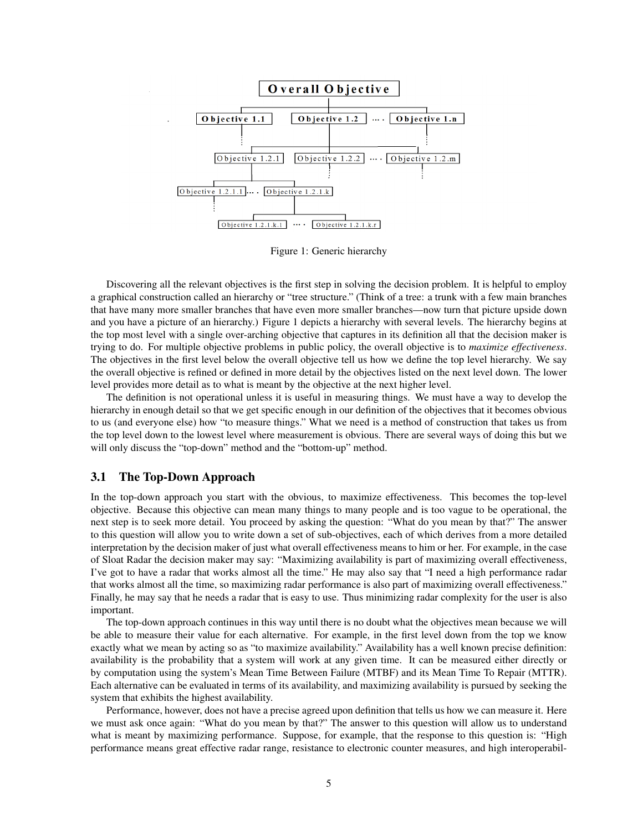

Figure 1: Generic hierarchy

Discovering all the relevant objectives is the first step in solving the decision problem. It is helpful to employ a graphical construction called an hierarchy or "tree structure." (Think of a tree: a trunk with a few main branches that have many more smaller branches that have even more smaller branches—now turn that picture upside down and you have a picture of an hierarchy.) Figure 1 depicts a hierarchy with several levels. The hierarchy begins at the top most level with a single over-arching objective that captures in its definition all that the decision maker is trying to do. For multiple objective problems in public policy, the overall objective is to *maximize effectiveness*. The objectives in the first level below the overall objective tell us how we define the top level hierarchy. We say the overall objective is refined or defined in more detail by the objectives listed on the next level down. The lower level provides more detail as to what is meant by the objective at the next higher level.

The definition is not operational unless it is useful in measuring things. We must have a way to develop the hierarchy in enough detail so that we get specific enough in our definition of the objectives that it becomes obvious to us (and everyone else) how "to measure things." What we need is a method of construction that takes us from the top level down to the lowest level where measurement is obvious. There are several ways of doing this but we will only discuss the "top-down" method and the "bottom-up" method.

### 3.1 The Top-Down Approach

In the top-down approach you start with the obvious, to maximize effectiveness. This becomes the top-level objective. Because this objective can mean many things to many people and is too vague to be operational, the next step is to seek more detail. You proceed by asking the question: "What do you mean by that?" The answer to this question will allow you to write down a set of sub-objectives, each of which derives from a more detailed interpretation by the decision maker of just what overall effectiveness means to him or her. For example, in the case of Sloat Radar the decision maker may say: "Maximizing availability is part of maximizing overall effectiveness, I've got to have a radar that works almost all the time." He may also say that "I need a high performance radar that works almost all the time, so maximizing radar performance is also part of maximizing overall effectiveness." Finally, he may say that he needs a radar that is easy to use. Thus minimizing radar complexity for the user is also important.

The top-down approach continues in this way until there is no doubt what the objectives mean because we will be able to measure their value for each alternative. For example, in the first level down from the top we know exactly what we mean by acting so as "to maximize availability." Availability has a well known precise definition: availability is the probability that a system will work at any given time. It can be measured either directly or by computation using the system's Mean Time Between Failure (MTBF) and its Mean Time To Repair (MTTR). Each alternative can be evaluated in terms of its availability, and maximizing availability is pursued by seeking the system that exhibits the highest availability.

Performance, however, does not have a precise agreed upon definition that tells us how we can measure it. Here we must ask once again: "What do you mean by that?" The answer to this question will allow us to understand what is meant by maximizing performance. Suppose, for example, that the response to this question is: "High performance means great effective radar range, resistance to electronic counter measures, and high interoperabil-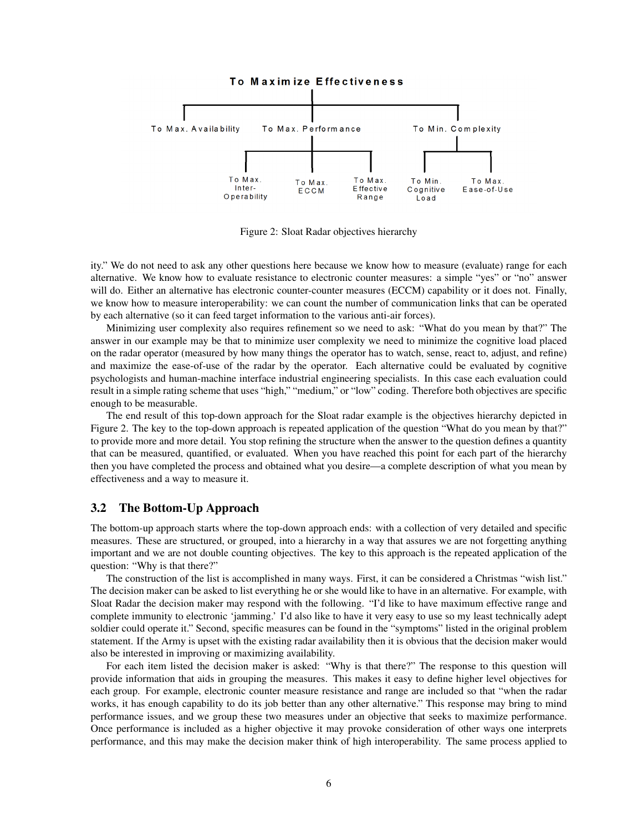

Figure 2: Sloat Radar objectives hierarchy

ity." We do not need to ask any other questions here because we know how to measure (evaluate) range for each alternative. We know how to evaluate resistance to electronic counter measures: a simple "yes" or "no" answer will do. Either an alternative has electronic counter-counter measures (ECCM) capability or it does not. Finally, we know how to measure interoperability: we can count the number of communication links that can be operated by each alternative (so it can feed target information to the various anti-air forces).

Minimizing user complexity also requires refinement so we need to ask: "What do you mean by that?" The answer in our example may be that to minimize user complexity we need to minimize the cognitive load placed on the radar operator (measured by how many things the operator has to watch, sense, react to, adjust, and refine) and maximize the ease-of-use of the radar by the operator. Each alternative could be evaluated by cognitive psychologists and human-machine interface industrial engineering specialists. In this case each evaluation could result in a simple rating scheme that uses "high," "medium," or "low" coding. Therefore both objectives are specific enough to be measurable.

The end result of this top-down approach for the Sloat radar example is the objectives hierarchy depicted in Figure 2. The key to the top-down approach is repeated application of the question "What do you mean by that?" to provide more and more detail. You stop refining the structure when the answer to the question defines a quantity that can be measured, quantified, or evaluated. When you have reached this point for each part of the hierarchy then you have completed the process and obtained what you desire—a complete description of what you mean by effectiveness and a way to measure it.

### 3.2 The Bottom-Up Approach

The bottom-up approach starts where the top-down approach ends: with a collection of very detailed and specific measures. These are structured, or grouped, into a hierarchy in a way that assures we are not forgetting anything important and we are not double counting objectives. The key to this approach is the repeated application of the question: "Why is that there?"

The construction of the list is accomplished in many ways. First, it can be considered a Christmas "wish list." The decision maker can be asked to list everything he or she would like to have in an alternative. For example, with Sloat Radar the decision maker may respond with the following. "I'd like to have maximum effective range and complete immunity to electronic 'jamming.' I'd also like to have it very easy to use so my least technically adept soldier could operate it." Second, specific measures can be found in the "symptoms" listed in the original problem statement. If the Army is upset with the existing radar availability then it is obvious that the decision maker would also be interested in improving or maximizing availability.

For each item listed the decision maker is asked: "Why is that there?" The response to this question will provide information that aids in grouping the measures. This makes it easy to define higher level objectives for each group. For example, electronic counter measure resistance and range are included so that "when the radar works, it has enough capability to do its job better than any other alternative." This response may bring to mind performance issues, and we group these two measures under an objective that seeks to maximize performance. Once performance is included as a higher objective it may provoke consideration of other ways one interprets performance, and this may make the decision maker think of high interoperability. The same process applied to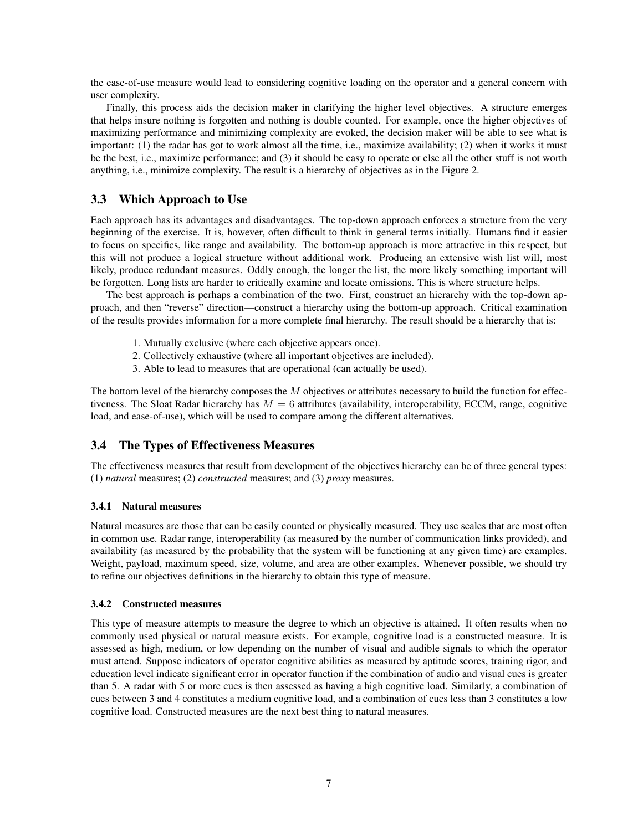the ease-of-use measure would lead to considering cognitive loading on the operator and a general concern with user complexity.

Finally, this process aids the decision maker in clarifying the higher level objectives. A structure emerges that helps insure nothing is forgotten and nothing is double counted. For example, once the higher objectives of maximizing performance and minimizing complexity are evoked, the decision maker will be able to see what is important: (1) the radar has got to work almost all the time, i.e., maximize availability; (2) when it works it must be the best, i.e., maximize performance; and (3) it should be easy to operate or else all the other stuff is not worth anything, i.e., minimize complexity. The result is a hierarchy of objectives as in the Figure 2.

### 3.3 Which Approach to Use

Each approach has its advantages and disadvantages. The top-down approach enforces a structure from the very beginning of the exercise. It is, however, often difficult to think in general terms initially. Humans find it easier to focus on specifics, like range and availability. The bottom-up approach is more attractive in this respect, but this will not produce a logical structure without additional work. Producing an extensive wish list will, most likely, produce redundant measures. Oddly enough, the longer the list, the more likely something important will be forgotten. Long lists are harder to critically examine and locate omissions. This is where structure helps.

The best approach is perhaps a combination of the two. First, construct an hierarchy with the top-down approach, and then "reverse" direction—construct a hierarchy using the bottom-up approach. Critical examination of the results provides information for a more complete final hierarchy. The result should be a hierarchy that is:

- 1. Mutually exclusive (where each objective appears once).
- 2. Collectively exhaustive (where all important objectives are included).
- 3. Able to lead to measures that are operational (can actually be used).

The bottom level of the hierarchy composes the  $M$  objectives or attributes necessary to build the function for effectiveness. The Sloat Radar hierarchy has  $M = 6$  attributes (availability, interoperability, ECCM, range, cognitive load, and ease-of-use), which will be used to compare among the different alternatives.

### 3.4 The Types of Effectiveness Measures

The effectiveness measures that result from development of the objectives hierarchy can be of three general types: (1) *natural* measures; (2) *constructed* measures; and (3) *proxy* measures.

### 3.4.1 Natural measures

Natural measures are those that can be easily counted or physically measured. They use scales that are most often in common use. Radar range, interoperability (as measured by the number of communication links provided), and availability (as measured by the probability that the system will be functioning at any given time) are examples. Weight, payload, maximum speed, size, volume, and area are other examples. Whenever possible, we should try to refine our objectives definitions in the hierarchy to obtain this type of measure.

#### 3.4.2 Constructed measures

This type of measure attempts to measure the degree to which an objective is attained. It often results when no commonly used physical or natural measure exists. For example, cognitive load is a constructed measure. It is assessed as high, medium, or low depending on the number of visual and audible signals to which the operator must attend. Suppose indicators of operator cognitive abilities as measured by aptitude scores, training rigor, and education level indicate significant error in operator function if the combination of audio and visual cues is greater than 5. A radar with 5 or more cues is then assessed as having a high cognitive load. Similarly, a combination of cues between 3 and 4 constitutes a medium cognitive load, and a combination of cues less than 3 constitutes a low cognitive load. Constructed measures are the next best thing to natural measures.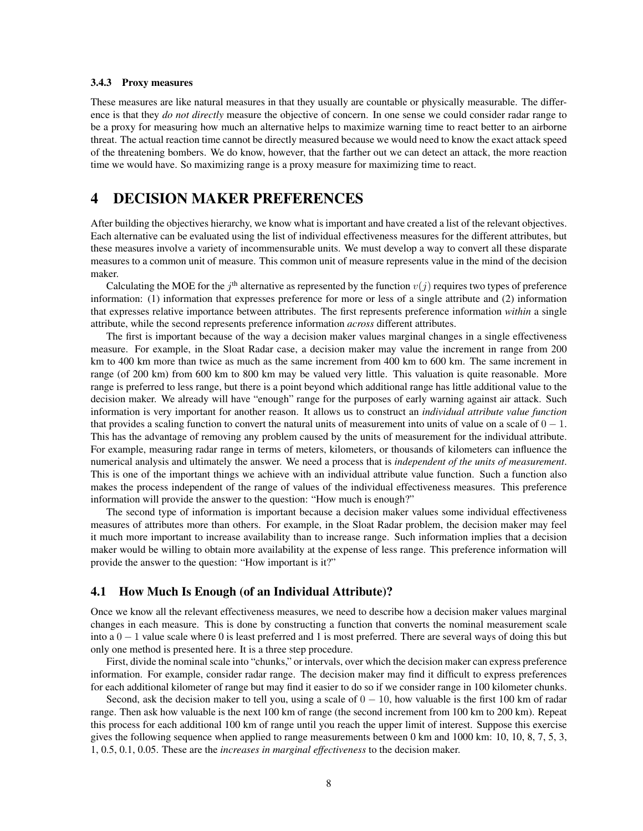#### 3.4.3 Proxy measures

These measures are like natural measures in that they usually are countable or physically measurable. The difference is that they *do not directly* measure the objective of concern. In one sense we could consider radar range to be a proxy for measuring how much an alternative helps to maximize warning time to react better to an airborne threat. The actual reaction time cannot be directly measured because we would need to know the exact attack speed of the threatening bombers. We do know, however, that the farther out we can detect an attack, the more reaction time we would have. So maximizing range is a proxy measure for maximizing time to react.

## 4 DECISION MAKER PREFERENCES

After building the objectives hierarchy, we know what is important and have created a list of the relevant objectives. Each alternative can be evaluated using the list of individual effectiveness measures for the different attributes, but these measures involve a variety of incommensurable units. We must develop a way to convert all these disparate measures to a common unit of measure. This common unit of measure represents value in the mind of the decision maker.

Calculating the MOE for the  $j<sup>th</sup>$  alternative as represented by the function  $v(j)$  requires two types of preference information: (1) information that expresses preference for more or less of a single attribute and (2) information that expresses relative importance between attributes. The first represents preference information *within* a single attribute, while the second represents preference information *across* different attributes.

The first is important because of the way a decision maker values marginal changes in a single effectiveness measure. For example, in the Sloat Radar case, a decision maker may value the increment in range from 200 km to 400 km more than twice as much as the same increment from 400 km to 600 km. The same increment in range (of 200 km) from 600 km to 800 km may be valued very little. This valuation is quite reasonable. More range is preferred to less range, but there is a point beyond which additional range has little additional value to the decision maker. We already will have "enough" range for the purposes of early warning against air attack. Such information is very important for another reason. It allows us to construct an *individual attribute value function* that provides a scaling function to convert the natural units of measurement into units of value on a scale of  $0 - 1$ . This has the advantage of removing any problem caused by the units of measurement for the individual attribute. For example, measuring radar range in terms of meters, kilometers, or thousands of kilometers can influence the numerical analysis and ultimately the answer. We need a process that is *independent of the units of measurement*. This is one of the important things we achieve with an individual attribute value function. Such a function also makes the process independent of the range of values of the individual effectiveness measures. This preference information will provide the answer to the question: "How much is enough?"

The second type of information is important because a decision maker values some individual effectiveness measures of attributes more than others. For example, in the Sloat Radar problem, the decision maker may feel it much more important to increase availability than to increase range. Such information implies that a decision maker would be willing to obtain more availability at the expense of less range. This preference information will provide the answer to the question: "How important is it?"

### 4.1 How Much Is Enough (of an Individual Attribute)?

Once we know all the relevant effectiveness measures, we need to describe how a decision maker values marginal changes in each measure. This is done by constructing a function that converts the nominal measurement scale into a 0 − 1 value scale where 0 is least preferred and 1 is most preferred. There are several ways of doing this but only one method is presented here. It is a three step procedure.

First, divide the nominal scale into "chunks," or intervals, over which the decision maker can express preference information. For example, consider radar range. The decision maker may find it difficult to express preferences for each additional kilometer of range but may find it easier to do so if we consider range in 100 kilometer chunks.

Second, ask the decision maker to tell you, using a scale of  $0 - 10$ , how valuable is the first 100 km of radar range. Then ask how valuable is the next 100 km of range (the second increment from 100 km to 200 km). Repeat this process for each additional 100 km of range until you reach the upper limit of interest. Suppose this exercise gives the following sequence when applied to range measurements between 0 km and 1000 km: 10, 10, 8, 7, 5, 3, 1, 0.5, 0.1, 0.05. These are the *increases in marginal effectiveness* to the decision maker.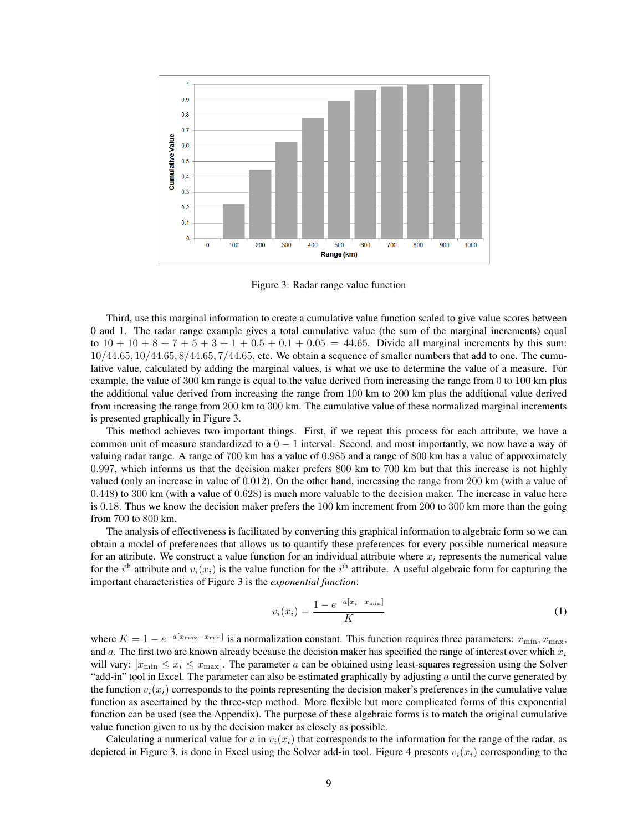

Figure 3: Radar range value function

Third, use this marginal information to create a cumulative value function scaled to give value scores between 0 and 1. The radar range example gives a total cumulative value (the sum of the marginal increments) equal to  $10 + 10 + 8 + 7 + 5 + 3 + 1 + 0.5 + 0.1 + 0.05 = 44.65$ . Divide all marginal increments by this sum: 10/44.65, 10/44.65, 8/44.65, 7/44.65, etc. We obtain a sequence of smaller numbers that add to one. The cumulative value, calculated by adding the marginal values, is what we use to determine the value of a measure. For example, the value of 300 km range is equal to the value derived from increasing the range from 0 to 100 km plus the additional value derived from increasing the range from 100 km to 200 km plus the additional value derived from increasing the range from 200 km to 300 km. The cumulative value of these normalized marginal increments is presented graphically in Figure 3.

This method achieves two important things. First, if we repeat this process for each attribute, we have a common unit of measure standardized to a  $0 - 1$  interval. Second, and most importantly, we now have a way of valuing radar range. A range of 700 km has a value of 0.985 and a range of 800 km has a value of approximately 0.997, which informs us that the decision maker prefers 800 km to 700 km but that this increase is not highly valued (only an increase in value of 0.012). On the other hand, increasing the range from 200 km (with a value of 0.448) to 300 km (with a value of 0.628) is much more valuable to the decision maker. The increase in value here is 0.18. Thus we know the decision maker prefers the 100 km increment from 200 to 300 km more than the going from 700 to 800 km.

The analysis of effectiveness is facilitated by converting this graphical information to algebraic form so we can obtain a model of preferences that allows us to quantify these preferences for every possible numerical measure for an attribute. We construct a value function for an individual attribute where  $x_i$  represents the numerical value for the i<sup>th</sup> attribute and  $v_i(x_i)$  is the value function for the i<sup>th</sup> attribute. A useful algebraic form for capturing the important characteristics of Figure 3 is the *exponential function*:

$$
v_i(x_i) = \frac{1 - e^{-a[x_i - x_{\min}]} }{K}
$$
 (1)

where  $K = 1 - e^{-a[x_{\text{max}} - x_{\text{min}}]}$  is a normalization constant. This function requires three parameters:  $x_{\text{min}}$ ,  $x_{\text{max}}$ , and  $a$ . The first two are known already because the decision maker has specified the range of interest over which  $x_i$ will vary:  $[x_{\min} \le x_i \le x_{\max}]$ . The parameter a can be obtained using least-squares regression using the Solver "add-in" tool in Excel. The parameter can also be estimated graphically by adjusting a until the curve generated by the function  $v_i(x_i)$  corresponds to the points representing the decision maker's preferences in the cumulative value function as ascertained by the three-step method. More flexible but more complicated forms of this exponential function can be used (see the Appendix). The purpose of these algebraic forms is to match the original cumulative value function given to us by the decision maker as closely as possible.

Calculating a numerical value for a in  $v_i(x_i)$  that corresponds to the information for the range of the radar, as depicted in Figure 3, is done in Excel using the Solver add-in tool. Figure 4 presents  $v_i(x_i)$  corresponding to the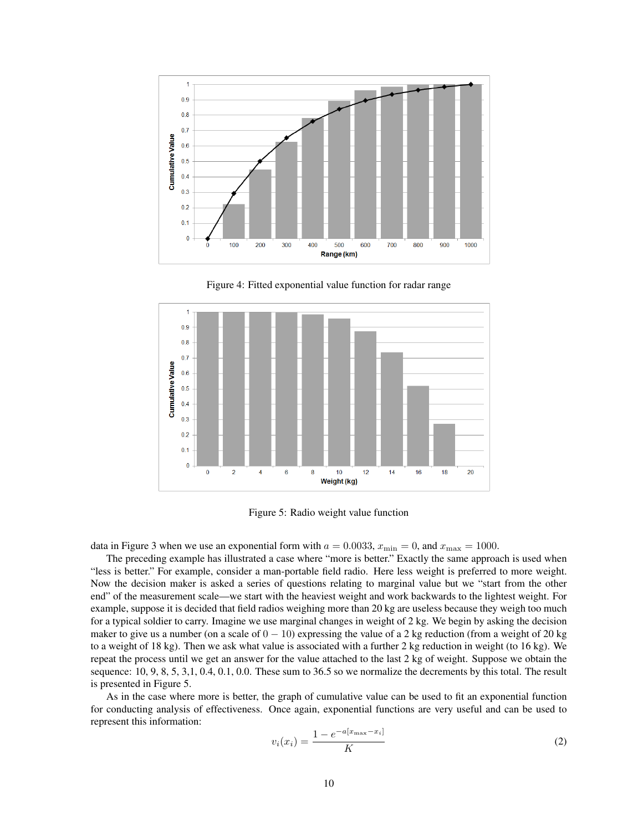

Figure 4: Fitted exponential value function for radar range



Figure 5: Radio weight value function

data in Figure 3 when we use an exponential form with  $a = 0.0033$ ,  $x_{\text{min}} = 0$ , and  $x_{\text{max}} = 1000$ .

The preceding example has illustrated a case where "more is better." Exactly the same approach is used when "less is better." For example, consider a man-portable field radio. Here less weight is preferred to more weight. Now the decision maker is asked a series of questions relating to marginal value but we "start from the other end" of the measurement scale—we start with the heaviest weight and work backwards to the lightest weight. For example, suppose it is decided that field radios weighing more than 20 kg are useless because they weigh too much for a typical soldier to carry. Imagine we use marginal changes in weight of 2 kg. We begin by asking the decision maker to give us a number (on a scale of  $0 - 10$ ) expressing the value of a 2 kg reduction (from a weight of 20 kg to a weight of 18 kg). Then we ask what value is associated with a further 2 kg reduction in weight (to 16 kg). We repeat the process until we get an answer for the value attached to the last 2 kg of weight. Suppose we obtain the sequence: 10, 9, 8, 5, 3,1, 0.4, 0.1, 0.0. These sum to 36.5 so we normalize the decrements by this total. The result is presented in Figure 5.

As in the case where more is better, the graph of cumulative value can be used to fit an exponential function for conducting analysis of effectiveness. Once again, exponential functions are very useful and can be used to represent this information:

$$
v_i(x_i) = \frac{1 - e^{-a[x_{\text{max}} - x_i]}}{K}
$$
 (2)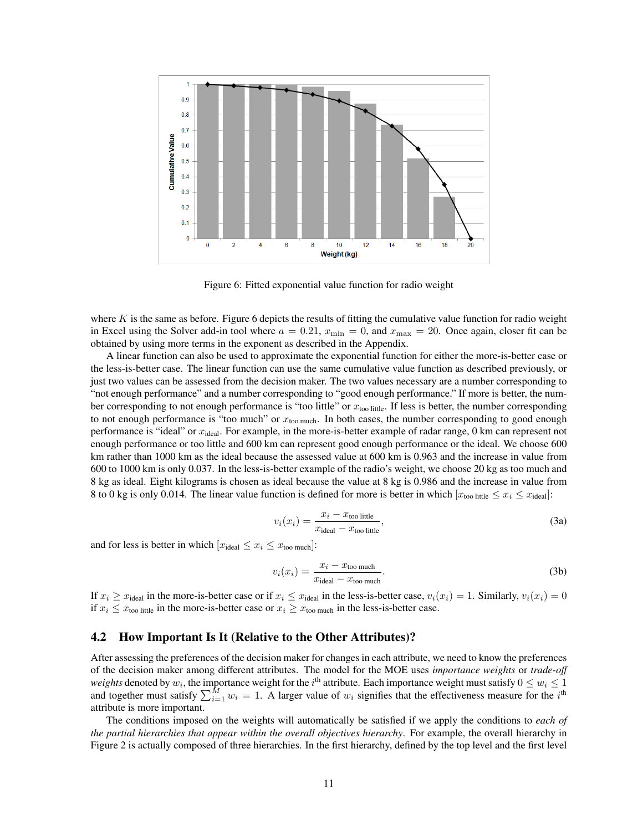

Figure 6: Fitted exponential value function for radio weight

where  $K$  is the same as before. Figure 6 depicts the results of fitting the cumulative value function for radio weight in Excel using the Solver add-in tool where  $a = 0.21$ ,  $x_{\text{min}} = 0$ , and  $x_{\text{max}} = 20$ . Once again, closer fit can be obtained by using more terms in the exponent as described in the Appendix.

A linear function can also be used to approximate the exponential function for either the more-is-better case or the less-is-better case. The linear function can use the same cumulative value function as described previously, or just two values can be assessed from the decision maker. The two values necessary are a number corresponding to "not enough performance" and a number corresponding to "good enough performance." If more is better, the number corresponding to not enough performance is "too little" or  $x_{\text{too little}}$ . If less is better, the number corresponding to not enough performance is "too much" or  $x_{\text{too much}}$ . In both cases, the number corresponding to good enough performance is "ideal" or  $x_{\text{ideal}}$ . For example, in the more-is-better example of radar range, 0 km can represent not enough performance or too little and 600 km can represent good enough performance or the ideal. We choose 600 km rather than 1000 km as the ideal because the assessed value at 600 km is 0.963 and the increase in value from 600 to 1000 km is only 0.037. In the less-is-better example of the radio's weight, we choose 20 kg as too much and 8 kg as ideal. Eight kilograms is chosen as ideal because the value at 8 kg is 0.986 and the increase in value from 8 to 0 kg is only 0.014. The linear value function is defined for more is better in which  $[x_{\text{too little}} \le x_i \le x_{\text{ideal}}]$ :

$$
v_i(x_i) = \frac{x_i - x_{\text{too little}}}{x_{\text{ideal}} - x_{\text{too little}}},\tag{3a}
$$

and for less is better in which  $|x_{ideal} \leq x_i \leq x_{\text{too much}}|$ :

$$
v_i(x_i) = \frac{x_i - x_{\text{too much}}}{x_{\text{ideal}} - x_{\text{too much}}}. \tag{3b}
$$

If  $x_i \ge x_{\text{ideal}}$  in the more-is-better case or if  $x_i \le x_{\text{ideal}}$  in the less-is-better case,  $v_i(x_i) = 1$ . Similarly,  $v_i(x_i) = 0$ if  $x_i \leq x_{\text{too little}}$  in the more-is-better case or  $x_i \geq x_{\text{too much}}$  in the less-is-better case.

### 4.2 How Important Is It (Relative to the Other Attributes)?

After assessing the preferences of the decision maker for changes in each attribute, we need to know the preferences of the decision maker among different attributes. The model for the MOE uses *importance weights* or *trade-off* weights denoted by  $w_i$ , the importance weight for the i<sup>th</sup> attribute. Each importance weight must satisfy  $0 \leq w_i \leq 1$ and together must satisfy  $\sum_{i=1}^{M} w_i = 1$ . A larger value of  $w_i$  signifies that the effectiveness measure for the i<sup>th</sup> attribute is more important.

The conditions imposed on the weights will automatically be satisfied if we apply the conditions to *each of the partial hierarchies that appear within the overall objectives hierarchy*. For example, the overall hierarchy in Figure 2 is actually composed of three hierarchies. In the first hierarchy, defined by the top level and the first level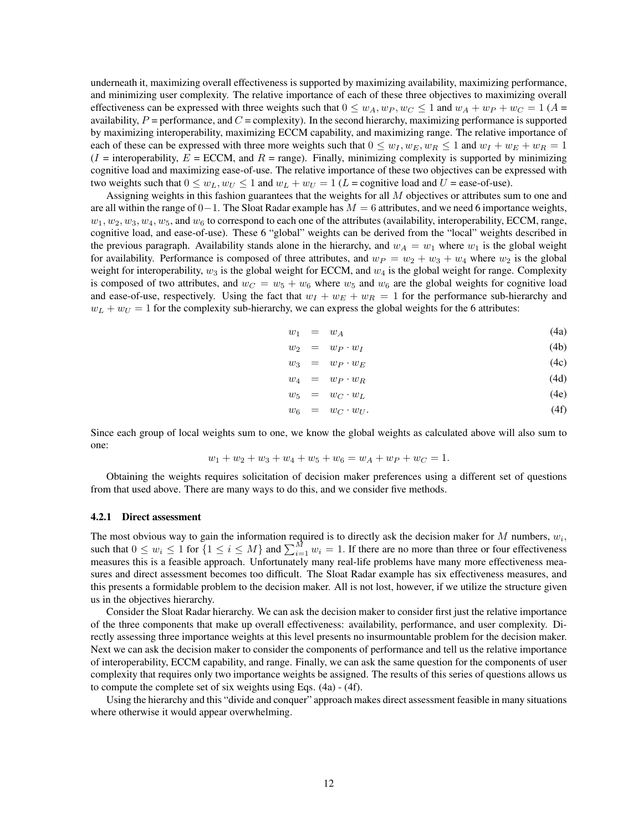underneath it, maximizing overall effectiveness is supported by maximizing availability, maximizing performance, and minimizing user complexity. The relative importance of each of these three objectives to maximizing overall effectiveness can be expressed with three weights such that  $0 \leq w_A, w_P, w_C \leq 1$  and  $w_A + w_P + w_C = 1$  ( $A =$ availability,  $P =$  performance, and  $C =$  complexity). In the second hierarchy, maximizing performance is supported by maximizing interoperability, maximizing ECCM capability, and maximizing range. The relative importance of each of these can be expressed with three more weights such that  $0 \leq w_I, w_E, w_R \leq 1$  and  $w_I + w_E + w_R = 1$  $(I =$  interoperability,  $E =$  ECCM, and  $R =$  range). Finally, minimizing complexity is supported by minimizing cognitive load and maximizing ease-of-use. The relative importance of these two objectives can be expressed with two weights such that  $0 \le w_L, w_U \le 1$  and  $w_L + w_U = 1$  (L = cognitive load and U = ease-of-use).

Assigning weights in this fashion guarantees that the weights for all M objectives or attributes sum to one and are all within the range of  $0-1$ . The Sloat Radar example has  $M = 6$  attributes, and we need 6 importance weights,  $w_1, w_2, w_3, w_4, w_5$ , and  $w_6$  to correspond to each one of the attributes (availability, interoperability, ECCM, range, cognitive load, and ease-of-use). These 6 "global" weights can be derived from the "local" weights described in the previous paragraph. Availability stands alone in the hierarchy, and  $w_A = w_1$  where  $w_1$  is the global weight for availability. Performance is composed of three attributes, and  $w_P = w_2 + w_3 + w_4$  where  $w_2$  is the global weight for interoperability,  $w_3$  is the global weight for ECCM, and  $w_4$  is the global weight for range. Complexity is composed of two attributes, and  $w_C = w_5 + w_6$  where  $w_5$  and  $w_6$  are the global weights for cognitive load and ease-of-use, respectively. Using the fact that  $w_I + w_E + w_R = 1$  for the performance sub-hierarchy and  $w_L + w_U = 1$  for the complexity sub-hierarchy, we can express the global weights for the 6 attributes:

$$
w_1 = w_A \tag{4a}
$$

$$
w_2 = w_P \cdot w_I \tag{4b}
$$

$$
w_3 = w_P \cdot w_E \tag{4c}
$$

$$
w_4 = w_P \cdot w_R \tag{4d}
$$

$$
w_5 = w_C \cdot w_L \tag{4e}
$$

$$
w_6 = w_C \cdot w_U. \tag{4f}
$$

Since each group of local weights sum to one, we know the global weights as calculated above will also sum to one:

$$
w_1 + w_2 + w_3 + w_4 + w_5 + w_6 = w_A + w_P + w_C = 1.
$$

Obtaining the weights requires solicitation of decision maker preferences using a different set of questions from that used above. There are many ways to do this, and we consider five methods.

#### 4.2.1 Direct assessment

The most obvious way to gain the information required is to directly ask the decision maker for M numbers,  $w_i$ , such that  $0 \leq w_i \leq 1$  for  $\{1 \leq i \leq M\}$  and  $\sum_{i=1}^{M} w_i = 1$ . If there are no more than three or four effectiveness measures this is a feasible approach. Unfortunately many real-life problems have many more effectiveness measures and direct assessment becomes too difficult. The Sloat Radar example has six effectiveness measures, and this presents a formidable problem to the decision maker. All is not lost, however, if we utilize the structure given us in the objectives hierarchy.

Consider the Sloat Radar hierarchy. We can ask the decision maker to consider first just the relative importance of the three components that make up overall effectiveness: availability, performance, and user complexity. Directly assessing three importance weights at this level presents no insurmountable problem for the decision maker. Next we can ask the decision maker to consider the components of performance and tell us the relative importance of interoperability, ECCM capability, and range. Finally, we can ask the same question for the components of user complexity that requires only two importance weights be assigned. The results of this series of questions allows us to compute the complete set of six weights using Eqs. (4a) - (4f).

Using the hierarchy and this "divide and conquer" approach makes direct assessment feasible in many situations where otherwise it would appear overwhelming.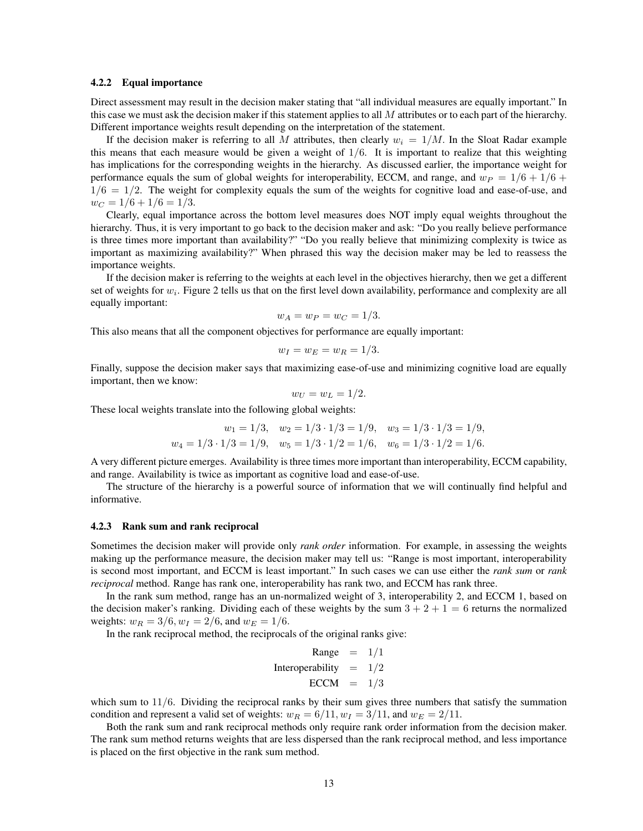#### 4.2.2 Equal importance

Direct assessment may result in the decision maker stating that "all individual measures are equally important." In this case we must ask the decision maker if this statement applies to all  $M$  attributes or to each part of the hierarchy. Different importance weights result depending on the interpretation of the statement.

If the decision maker is referring to all M attributes, then clearly  $w_i = 1/M$ . In the Sloat Radar example this means that each measure would be given a weight of  $1/6$ . It is important to realize that this weighting has implications for the corresponding weights in the hierarchy. As discussed earlier, the importance weight for performance equals the sum of global weights for interoperability, ECCM, and range, and  $w_P = 1/6 + 1/6 + 1/6$  $1/6 = 1/2$ . The weight for complexity equals the sum of the weights for cognitive load and ease-of-use, and  $w_C = 1/6 + 1/6 = 1/3.$ 

Clearly, equal importance across the bottom level measures does NOT imply equal weights throughout the hierarchy. Thus, it is very important to go back to the decision maker and ask: "Do you really believe performance is three times more important than availability?" "Do you really believe that minimizing complexity is twice as important as maximizing availability?" When phrased this way the decision maker may be led to reassess the importance weights.

If the decision maker is referring to the weights at each level in the objectives hierarchy, then we get a different set of weights for  $w_i$ . Figure 2 tells us that on the first level down availability, performance and complexity are all equally important:

$$
w_A = w_P = w_C = 1/3.
$$

This also means that all the component objectives for performance are equally important:

$$
w_I = w_E = w_R = 1/3.
$$

Finally, suppose the decision maker says that maximizing ease-of-use and minimizing cognitive load are equally important, then we know:

$$
w_U = w_L = 1/2.
$$

These local weights translate into the following global weights:

$$
w_1 = 1/3
$$
,  $w_2 = 1/3 \cdot 1/3 = 1/9$ ,  $w_3 = 1/3 \cdot 1/3 = 1/9$ ,  
\n $w_4 = 1/3 \cdot 1/3 = 1/9$ ,  $w_5 = 1/3 \cdot 1/2 = 1/6$ ,  $w_6 = 1/3 \cdot 1/2 = 1/6$ .

A very different picture emerges. Availability is three times more important than interoperability, ECCM capability, and range. Availability is twice as important as cognitive load and ease-of-use.

The structure of the hierarchy is a powerful source of information that we will continually find helpful and informative.

#### 4.2.3 Rank sum and rank reciprocal

Sometimes the decision maker will provide only *rank order* information. For example, in assessing the weights making up the performance measure, the decision maker may tell us: "Range is most important, interoperability is second most important, and ECCM is least important." In such cases we can use either the *rank sum* or *rank reciprocal* method. Range has rank one, interoperability has rank two, and ECCM has rank three.

In the rank sum method, range has an un-normalized weight of 3, interoperability 2, and ECCM 1, based on the decision maker's ranking. Dividing each of these weights by the sum  $3 + 2 + 1 = 6$  returns the normalized weights:  $w_R = 3/6, w_I = 2/6$ , and  $w_E = 1/6$ .

In the rank reciprocal method, the reciprocals of the original ranks give:

Range = 
$$
1/1
$$
  
Interoperability =  $1/2$   
ECCM =  $1/3$ 

which sum to  $11/6$ . Dividing the reciprocal ranks by their sum gives three numbers that satisfy the summation condition and represent a valid set of weights:  $w_R = 6/11$ ,  $w_I = 3/11$ , and  $w_E = 2/11$ .

Both the rank sum and rank reciprocal methods only require rank order information from the decision maker. The rank sum method returns weights that are less dispersed than the rank reciprocal method, and less importance is placed on the first objective in the rank sum method.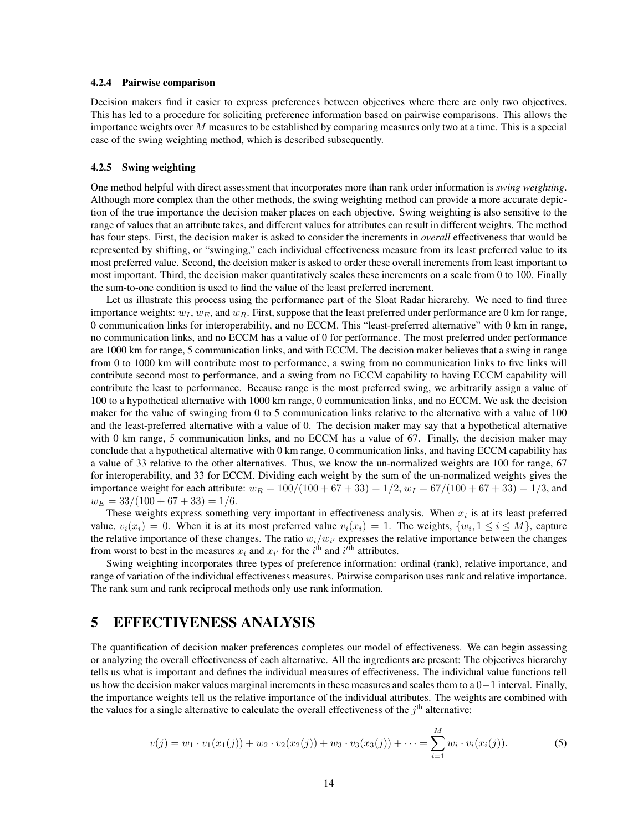#### 4.2.4 Pairwise comparison

Decision makers find it easier to express preferences between objectives where there are only two objectives. This has led to a procedure for soliciting preference information based on pairwise comparisons. This allows the importance weights over  $M$  measures to be established by comparing measures only two at a time. This is a special case of the swing weighting method, which is described subsequently.

#### 4.2.5 Swing weighting

One method helpful with direct assessment that incorporates more than rank order information is *swing weighting*. Although more complex than the other methods, the swing weighting method can provide a more accurate depiction of the true importance the decision maker places on each objective. Swing weighting is also sensitive to the range of values that an attribute takes, and different values for attributes can result in different weights. The method has four steps. First, the decision maker is asked to consider the increments in *overall* effectiveness that would be represented by shifting, or "swinging," each individual effectiveness measure from its least preferred value to its most preferred value. Second, the decision maker is asked to order these overall increments from least important to most important. Third, the decision maker quantitatively scales these increments on a scale from 0 to 100. Finally the sum-to-one condition is used to find the value of the least preferred increment.

Let us illustrate this process using the performance part of the Sloat Radar hierarchy. We need to find three importance weights:  $w_I, w_E$ , and  $w_R$ . First, suppose that the least preferred under performance are 0 km for range, 0 communication links for interoperability, and no ECCM. This "least-preferred alternative" with 0 km in range, no communication links, and no ECCM has a value of 0 for performance. The most preferred under performance are 1000 km for range, 5 communication links, and with ECCM. The decision maker believes that a swing in range from 0 to 1000 km will contribute most to performance, a swing from no communication links to five links will contribute second most to performance, and a swing from no ECCM capability to having ECCM capability will contribute the least to performance. Because range is the most preferred swing, we arbitrarily assign a value of 100 to a hypothetical alternative with 1000 km range, 0 communication links, and no ECCM. We ask the decision maker for the value of swinging from 0 to 5 communication links relative to the alternative with a value of 100 and the least-preferred alternative with a value of 0. The decision maker may say that a hypothetical alternative with 0 km range, 5 communication links, and no ECCM has a value of 67. Finally, the decision maker may conclude that a hypothetical alternative with 0 km range, 0 communication links, and having ECCM capability has a value of 33 relative to the other alternatives. Thus, we know the un-normalized weights are 100 for range, 67 for interoperability, and 33 for ECCM. Dividing each weight by the sum of the un-normalized weights gives the importance weight for each attribute:  $w_R = 100/(100 + 67 + 33) = 1/2$ ,  $w_I = 67/(100 + 67 + 33) = 1/3$ , and  $w_E = 33/(100 + 67 + 33) = 1/6.$ 

These weights express something very important in effectiveness analysis. When  $x_i$  is at its least preferred value,  $v_i(x_i) = 0$ . When it is at its most preferred value  $v_i(x_i) = 1$ . The weights,  $\{w_i, 1 \le i \le M\}$ , capture the relative importance of these changes. The ratio  $w_i/w_{i'}$  expresses the relative importance between the changes from worst to best in the measures  $x_i$  and  $x_{i'}$  for the  $i^{\text{th}}$  and  $i'^{\text{th}}$  attributes.

Swing weighting incorporates three types of preference information: ordinal (rank), relative importance, and range of variation of the individual effectiveness measures. Pairwise comparison uses rank and relative importance. The rank sum and rank reciprocal methods only use rank information.

## 5 EFFECTIVENESS ANALYSIS

The quantification of decision maker preferences completes our model of effectiveness. We can begin assessing or analyzing the overall effectiveness of each alternative. All the ingredients are present: The objectives hierarchy tells us what is important and defines the individual measures of effectiveness. The individual value functions tell us how the decision maker values marginal increments in these measures and scales them to a 0−1 interval. Finally, the importance weights tell us the relative importance of the individual attributes. The weights are combined with the values for a single alternative to calculate the overall effectiveness of the  $j<sup>th</sup>$  alternative:

$$
v(j) = w_1 \cdot v_1(x_1(j)) + w_2 \cdot v_2(x_2(j)) + w_3 \cdot v_3(x_3(j)) + \dots = \sum_{i=1}^{M} w_i \cdot v_i(x_i(j)).
$$
 (5)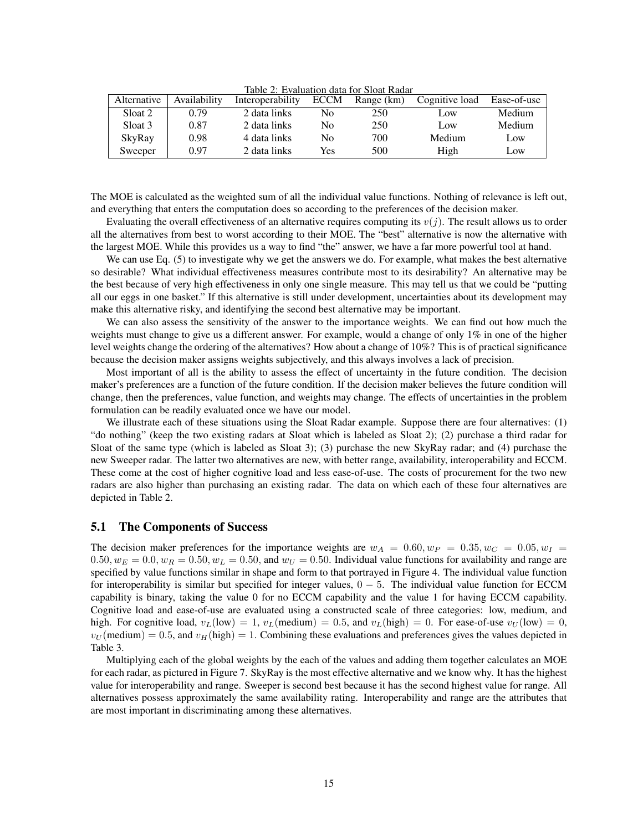Table 2: Evaluation data for Sloat Radar

| Alternative        | Availability | Interoperability | <b>ECCM</b> | Range (km) | Cognitive load | Ease-of-use |
|--------------------|--------------|------------------|-------------|------------|----------------|-------------|
| Sloat 2            | 0.79         | 2 data links     | Nο          | 250        | Low            | Medium      |
| Sloat <sub>3</sub> | 0.87         | 2 data links     | Nο          | 250        | Low            | Medium      |
| <b>SkyRay</b>      | 0.98         | 4 data links     | No.         | 700        | Medium         | Low         |
| Sweeper            | 0.97         | 2 data links     | Yes         | 500        | High           | Low         |

The MOE is calculated as the weighted sum of all the individual value functions. Nothing of relevance is left out, and everything that enters the computation does so according to the preferences of the decision maker.

Evaluating the overall effectiveness of an alternative requires computing its  $v(j)$ . The result allows us to order all the alternatives from best to worst according to their MOE. The "best" alternative is now the alternative with the largest MOE. While this provides us a way to find "the" answer, we have a far more powerful tool at hand.

We can use Eq. (5) to investigate why we get the answers we do. For example, what makes the best alternative so desirable? What individual effectiveness measures contribute most to its desirability? An alternative may be the best because of very high effectiveness in only one single measure. This may tell us that we could be "putting all our eggs in one basket." If this alternative is still under development, uncertainties about its development may make this alternative risky, and identifying the second best alternative may be important.

We can also assess the sensitivity of the answer to the importance weights. We can find out how much the weights must change to give us a different answer. For example, would a change of only 1% in one of the higher level weights change the ordering of the alternatives? How about a change of 10%? This is of practical significance because the decision maker assigns weights subjectively, and this always involves a lack of precision.

Most important of all is the ability to assess the effect of uncertainty in the future condition. The decision maker's preferences are a function of the future condition. If the decision maker believes the future condition will change, then the preferences, value function, and weights may change. The effects of uncertainties in the problem formulation can be readily evaluated once we have our model.

We illustrate each of these situations using the Sloat Radar example. Suppose there are four alternatives: (1) "do nothing" (keep the two existing radars at Sloat which is labeled as Sloat 2); (2) purchase a third radar for Sloat of the same type (which is labeled as Sloat 3); (3) purchase the new SkyRay radar; and (4) purchase the new Sweeper radar. The latter two alternatives are new, with better range, availability, interoperability and ECCM. These come at the cost of higher cognitive load and less ease-of-use. The costs of procurement for the two new radars are also higher than purchasing an existing radar. The data on which each of these four alternatives are depicted in Table 2.

### 5.1 The Components of Success

The decision maker preferences for the importance weights are  $w_A = 0.60, w_P = 0.35, w_C = 0.05, w_I = 0.05$  $0.50, w_E = 0.0, w_R = 0.50, w_L = 0.50$ , and  $w_U = 0.50$ . Individual value functions for availability and range are specified by value functions similar in shape and form to that portrayed in Figure 4. The individual value function for interoperability is similar but specified for integer values,  $0 - 5$ . The individual value function for ECCM capability is binary, taking the value 0 for no ECCM capability and the value 1 for having ECCM capability. Cognitive load and ease-of-use are evaluated using a constructed scale of three categories: low, medium, and high. For cognitive load,  $v_L(\text{low}) = 1$ ,  $v_L(\text{medium}) = 0.5$ , and  $v_L(\text{high}) = 0$ . For ease-of-use  $v_U(\text{low}) = 0$ ,  $v_U$  (medium) = 0.5, and  $v_H$  (high) = 1. Combining these evaluations and preferences gives the values depicted in Table 3.

Multiplying each of the global weights by the each of the values and adding them together calculates an MOE for each radar, as pictured in Figure 7. SkyRay is the most effective alternative and we know why. It has the highest value for interoperability and range. Sweeper is second best because it has the second highest value for range. All alternatives possess approximately the same availability rating. Interoperability and range are the attributes that are most important in discriminating among these alternatives.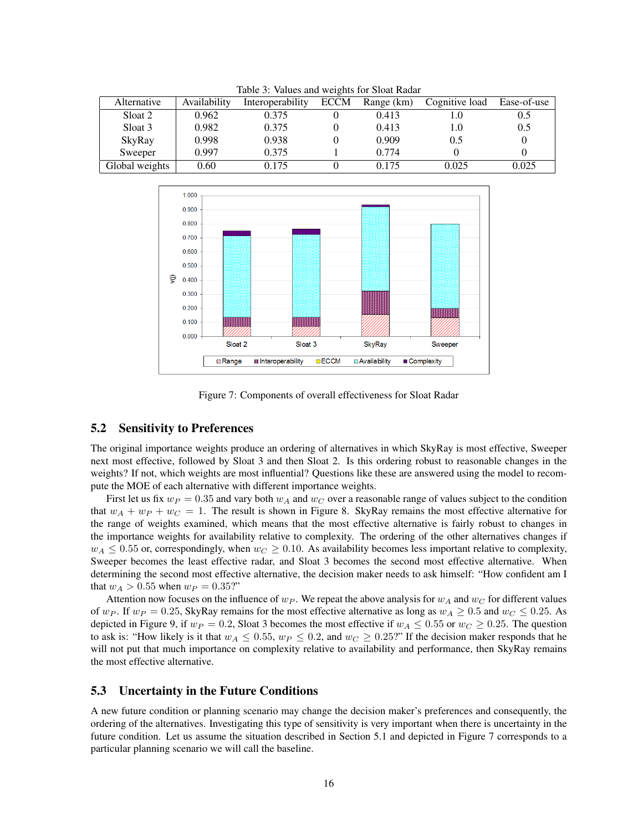| Alternative    | Availability | Interoperability | <b>ECCM</b> | Range (km) | Cognitive load | Ease-of-use |
|----------------|--------------|------------------|-------------|------------|----------------|-------------|
| Sloat 2        | 0.962        | 0.375            |             | 0.413      | 1.0            | 0.5         |
| Sloat 3        | 0.982        | 0.375            |             | 0.413      | 1.0            | 0.5         |
| SkyRay         | 0.998        | 0.938            |             | 0.909      | 0.5            |             |
| Sweeper        | 0.997        | 0.375            |             | 0.774      |                |             |
| Global weights | 0.60         | 0.175            |             | 0.175      | 0.025          | 0.025       |

Table 3: Values and weights for Sloat Radar



Figure 7: Components of overall effectiveness for Sloat Radar

### 5.2 Sensitivity to Preferences

The original importance weights produce an ordering of alternatives in which SkyRay is most effective, Sweeper next most effective, followed by Sloat 3 and then Sloat 2. Is this ordering robust to reasonable changes in the weights? If not, which weights are most influential? Questions like these are answered using the model to recompute the MOE of each alternative with different importance weights.

First let us fix  $w_P = 0.35$  and vary both  $w_A$  and  $w_C$  over a reasonable range of values subject to the condition that  $w_A + w_P + w_C = 1$ . The result is shown in Figure 8. SkyRay remains the most effective alternative for the range of weights examined, which means that the most effective alternative is fairly robust to changes in the importance weights for availability relative to complexity. The ordering of the other alternatives changes if  $w_A \leq 0.55$  or, correspondingly, when  $w_C \geq 0.10$ . As availability becomes less important relative to complexity, Sweeper becomes the least effective radar, and Sloat 3 becomes the second most effective alternative. When determining the second most effective alternative, the decision maker needs to ask himself: "How confident am I that  $w_A > 0.55$  when  $w_P = 0.35$ ?"

Attention now focuses on the influence of  $w_P$ . We repeat the above analysis for  $w_A$  and  $w_C$  for different values of  $w_P$ . If  $w_P = 0.25$ , SkyRay remains for the most effective alternative as long as  $w_A \ge 0.5$  and  $w_C \le 0.25$ . As depicted in Figure 9, if  $w_P = 0.2$ , Sloat 3 becomes the most effective if  $w_A \le 0.55$  or  $w_C \ge 0.25$ . The question to ask is: "How likely is it that  $w_A \le 0.55$ ,  $w_P \le 0.2$ , and  $w_C \ge 0.25$ ?" If the decision maker responds that he will not put that much importance on complexity relative to availability and performance, then SkyRay remains the most effective alternative.

### 5.3 Uncertainty in the Future Conditions

A new future condition or planning scenario may change the decision maker's preferences and consequently, the ordering of the alternatives. Investigating this type of sensitivity is very important when there is uncertainty in the future condition. Let us assume the situation described in Section 5.1 and depicted in Figure 7 corresponds to a particular planning scenario we will call the baseline.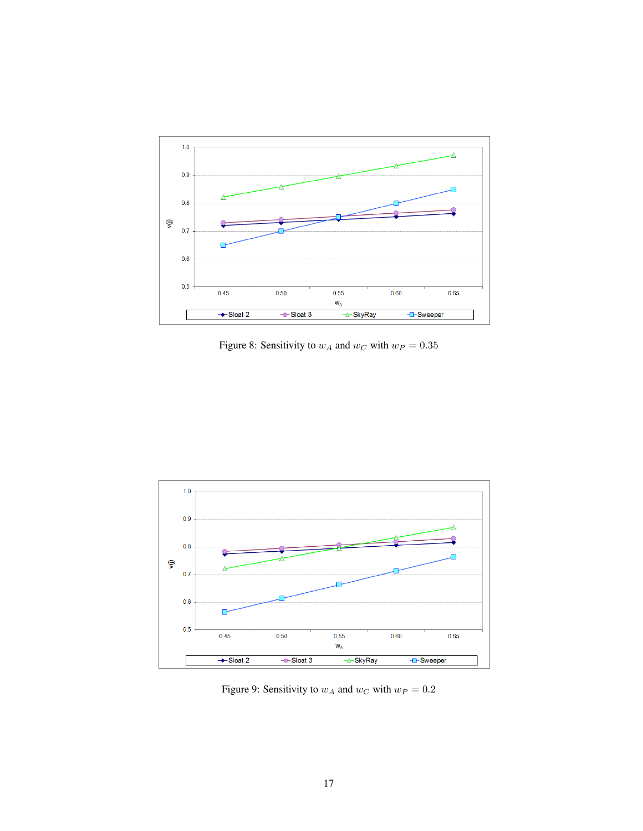

Figure 8: Sensitivity to  $w_A$  and  $w_C$  with  $w_P = 0.35$ 



Figure 9: Sensitivity to  $w_A$  and  $w_C$  with  $w_P = 0.2$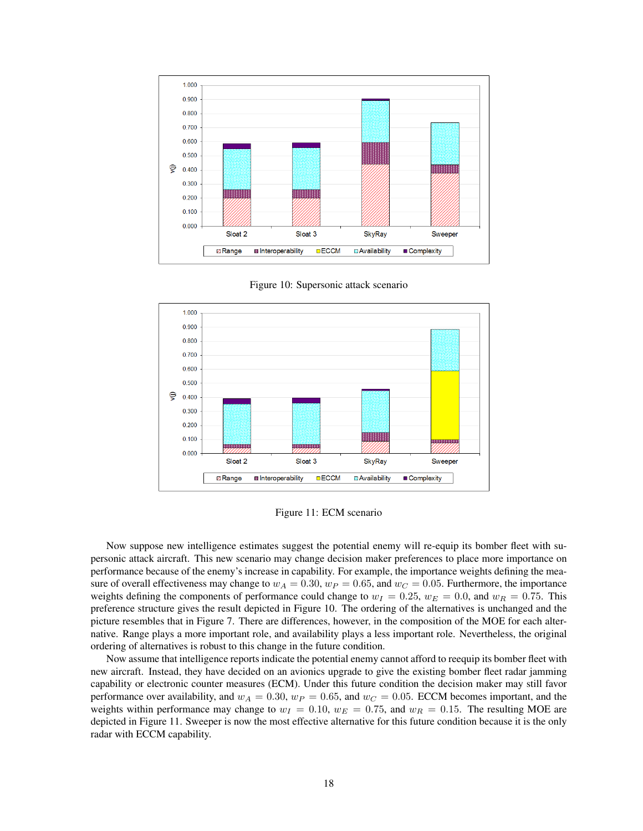

Figure 10: Supersonic attack scenario



Figure 11: ECM scenario

Now suppose new intelligence estimates suggest the potential enemy will re-equip its bomber fleet with supersonic attack aircraft. This new scenario may change decision maker preferences to place more importance on performance because of the enemy's increase in capability. For example, the importance weights defining the measure of overall effectiveness may change to  $w_A = 0.30$ ,  $w_P = 0.65$ , and  $w_C = 0.05$ . Furthermore, the importance weights defining the components of performance could change to  $w_I = 0.25$ ,  $w_E = 0.0$ , and  $w_R = 0.75$ . This preference structure gives the result depicted in Figure 10. The ordering of the alternatives is unchanged and the picture resembles that in Figure 7. There are differences, however, in the composition of the MOE for each alternative. Range plays a more important role, and availability plays a less important role. Nevertheless, the original ordering of alternatives is robust to this change in the future condition.

Now assume that intelligence reports indicate the potential enemy cannot afford to reequip its bomber fleet with new aircraft. Instead, they have decided on an avionics upgrade to give the existing bomber fleet radar jamming capability or electronic counter measures (ECM). Under this future condition the decision maker may still favor performance over availability, and  $w_A = 0.30$ ,  $w_P = 0.65$ , and  $w_C = 0.05$ . ECCM becomes important, and the weights within performance may change to  $w_I = 0.10$ ,  $w_E = 0.75$ , and  $w_R = 0.15$ . The resulting MOE are depicted in Figure 11. Sweeper is now the most effective alternative for this future condition because it is the only radar with ECCM capability.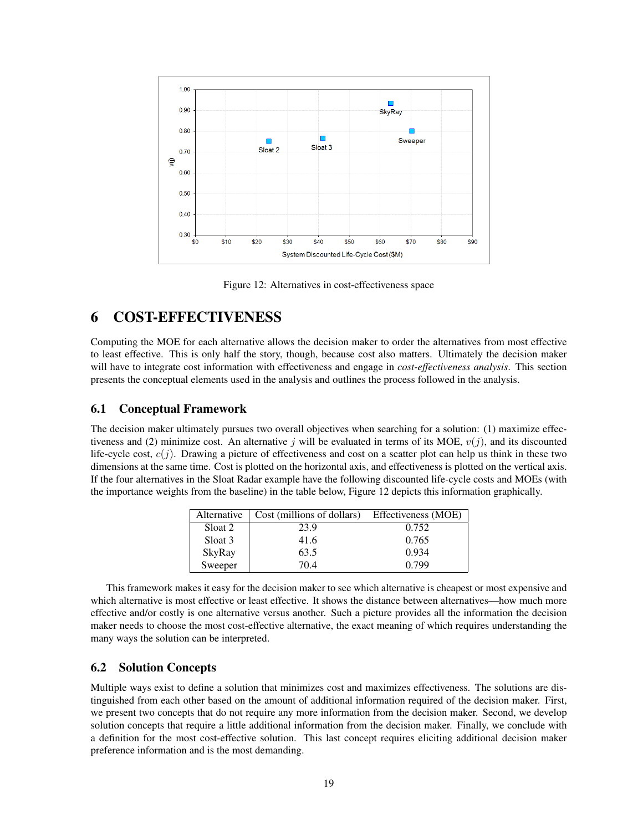

Figure 12: Alternatives in cost-effectiveness space

## 6 COST-EFFECTIVENESS

Computing the MOE for each alternative allows the decision maker to order the alternatives from most effective to least effective. This is only half the story, though, because cost also matters. Ultimately the decision maker will have to integrate cost information with effectiveness and engage in *cost-effectiveness analysis*. This section presents the conceptual elements used in the analysis and outlines the process followed in the analysis.

### 6.1 Conceptual Framework

The decision maker ultimately pursues two overall objectives when searching for a solution: (1) maximize effectiveness and (2) minimize cost. An alternative j will be evaluated in terms of its MOE,  $v(j)$ , and its discounted life-cycle cost,  $c(j)$ . Drawing a picture of effectiveness and cost on a scatter plot can help us think in these two dimensions at the same time. Cost is plotted on the horizontal axis, and effectiveness is plotted on the vertical axis. If the four alternatives in the Sloat Radar example have the following discounted life-cycle costs and MOEs (with the importance weights from the baseline) in the table below, Figure 12 depicts this information graphically.

| Alternative | Cost (millions of dollars) | Effectiveness (MOE) |
|-------------|----------------------------|---------------------|
| Sloat 2     | 23.9                       | 0.752               |
| Sloat 3     | 41.6                       | 0.765               |
| SkyRay      | 63.5                       | 0.934               |
| Sweeper     | 70 4                       | 0.799               |

This framework makes it easy for the decision maker to see which alternative is cheapest or most expensive and which alternative is most effective or least effective. It shows the distance between alternatives—how much more effective and/or costly is one alternative versus another. Such a picture provides all the information the decision maker needs to choose the most cost-effective alternative, the exact meaning of which requires understanding the many ways the solution can be interpreted.

### 6.2 Solution Concepts

Multiple ways exist to define a solution that minimizes cost and maximizes effectiveness. The solutions are distinguished from each other based on the amount of additional information required of the decision maker. First, we present two concepts that do not require any more information from the decision maker. Second, we develop solution concepts that require a little additional information from the decision maker. Finally, we conclude with a definition for the most cost-effective solution. This last concept requires eliciting additional decision maker preference information and is the most demanding.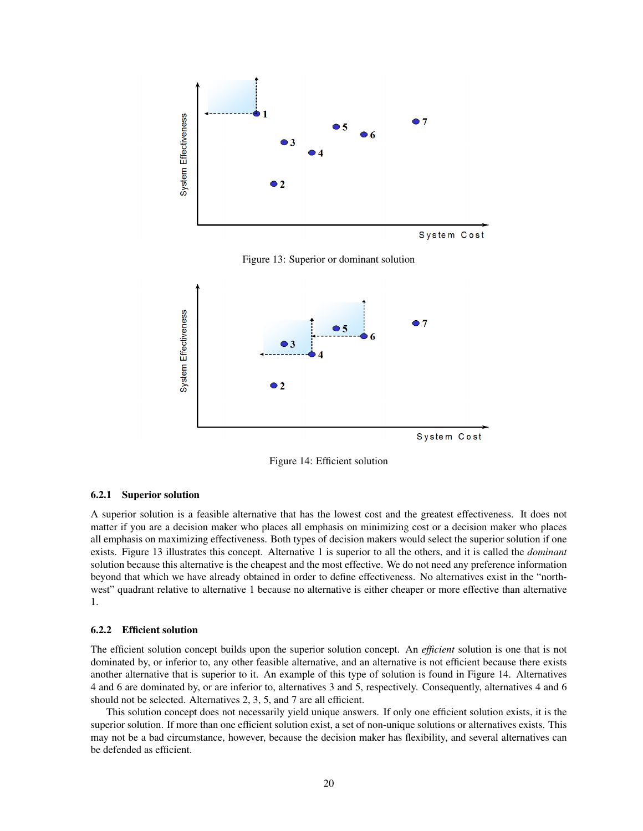

Figure 13: Superior or dominant solution



Figure 14: Efficient solution

### 6.2.1 Superior solution

A superior solution is a feasible alternative that has the lowest cost and the greatest effectiveness. It does not matter if you are a decision maker who places all emphasis on minimizing cost or a decision maker who places all emphasis on maximizing effectiveness. Both types of decision makers would select the superior solution if one exists. Figure 13 illustrates this concept. Alternative 1 is superior to all the others, and it is called the *dominant* solution because this alternative is the cheapest and the most effective. We do not need any preference information beyond that which we have already obtained in order to define effectiveness. No alternatives exist in the "northwest" quadrant relative to alternative 1 because no alternative is either cheaper or more effective than alternative 1.

#### 6.2.2 Efficient solution

The efficient solution concept builds upon the superior solution concept. An *efficient* solution is one that is not dominated by, or inferior to, any other feasible alternative, and an alternative is not efficient because there exists another alternative that is superior to it. An example of this type of solution is found in Figure 14. Alternatives 4 and 6 are dominated by, or are inferior to, alternatives 3 and 5, respectively. Consequently, alternatives 4 and 6 should not be selected. Alternatives 2, 3, 5, and 7 are all efficient.

This solution concept does not necessarily yield unique answers. If only one efficient solution exists, it is the superior solution. If more than one efficient solution exist, a set of non-unique solutions or alternatives exists. This may not be a bad circumstance, however, because the decision maker has flexibility, and several alternatives can be defended as efficient.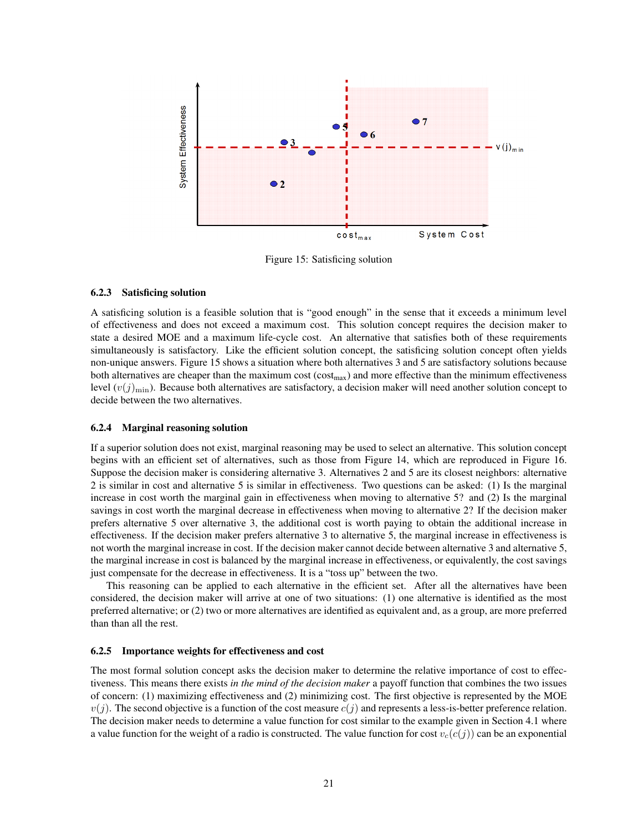

Figure 15: Satisficing solution

#### 6.2.3 Satisficing solution

A satisficing solution is a feasible solution that is "good enough" in the sense that it exceeds a minimum level of effectiveness and does not exceed a maximum cost. This solution concept requires the decision maker to state a desired MOE and a maximum life-cycle cost. An alternative that satisfies both of these requirements simultaneously is satisfactory. Like the efficient solution concept, the satisficing solution concept often yields non-unique answers. Figure 15 shows a situation where both alternatives 3 and 5 are satisfactory solutions because both alternatives are cheaper than the maximum cost ( $cost_{max}$ ) and more effective than the minimum effectiveness level  $(v(j<sub>min</sub>)$ . Because both alternatives are satisfactory, a decision maker will need another solution concept to decide between the two alternatives.

#### 6.2.4 Marginal reasoning solution

If a superior solution does not exist, marginal reasoning may be used to select an alternative. This solution concept begins with an efficient set of alternatives, such as those from Figure 14, which are reproduced in Figure 16. Suppose the decision maker is considering alternative 3. Alternatives 2 and 5 are its closest neighbors: alternative 2 is similar in cost and alternative 5 is similar in effectiveness. Two questions can be asked: (1) Is the marginal increase in cost worth the marginal gain in effectiveness when moving to alternative 5? and (2) Is the marginal savings in cost worth the marginal decrease in effectiveness when moving to alternative 2? If the decision maker prefers alternative 5 over alternative 3, the additional cost is worth paying to obtain the additional increase in effectiveness. If the decision maker prefers alternative 3 to alternative 5, the marginal increase in effectiveness is not worth the marginal increase in cost. If the decision maker cannot decide between alternative 3 and alternative 5, the marginal increase in cost is balanced by the marginal increase in effectiveness, or equivalently, the cost savings just compensate for the decrease in effectiveness. It is a "toss up" between the two.

This reasoning can be applied to each alternative in the efficient set. After all the alternatives have been considered, the decision maker will arrive at one of two situations: (1) one alternative is identified as the most preferred alternative; or (2) two or more alternatives are identified as equivalent and, as a group, are more preferred than than all the rest.

#### 6.2.5 Importance weights for effectiveness and cost

The most formal solution concept asks the decision maker to determine the relative importance of cost to effectiveness. This means there exists *in the mind of the decision maker* a payoff function that combines the two issues of concern: (1) maximizing effectiveness and (2) minimizing cost. The first objective is represented by the MOE  $v(j)$ . The second objective is a function of the cost measure  $c(j)$  and represents a less-is-better preference relation. The decision maker needs to determine a value function for cost similar to the example given in Section 4.1 where a value function for the weight of a radio is constructed. The value function for cost  $v_c(c(j))$  can be an exponential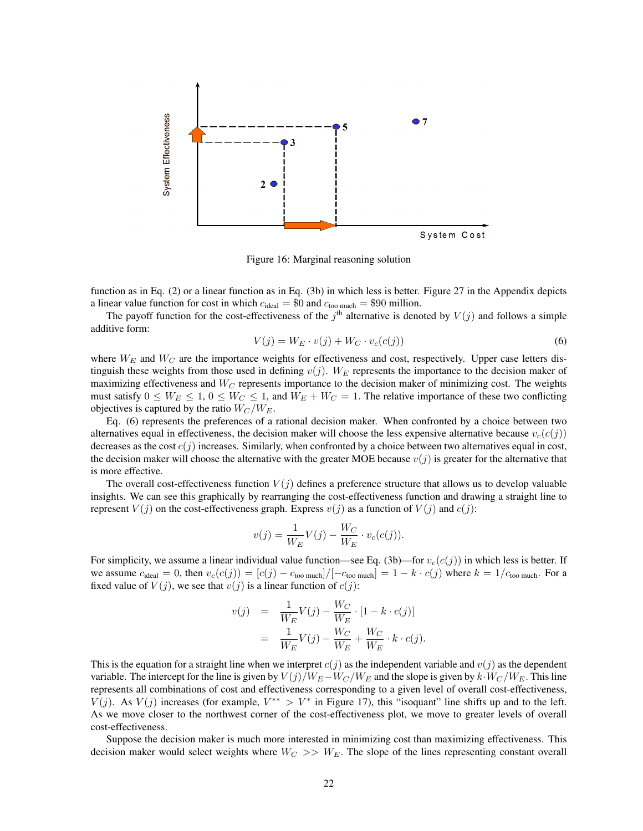

Figure 16: Marginal reasoning solution

function as in Eq. (2) or a linear function as in Eq. (3b) in which less is better. Figure 27 in the Appendix depicts a linear value function for cost in which  $c_{\text{ideal}} = $0$  and  $c_{\text{too much}} = $90$  million.

The payoff function for the cost-effectiveness of the  $j<sup>th</sup>$  alternative is denoted by  $V(j)$  and follows a simple additive form:

$$
V(j) = W_E \cdot v(j) + W_C \cdot v_c(c(j)) \tag{6}
$$

where  $W_E$  and  $W_C$  are the importance weights for effectiveness and cost, respectively. Upper case letters distinguish these weights from those used in defining  $v(j)$ . W<sub>E</sub> represents the importance to the decision maker of maximizing effectiveness and  $W_C$  represents importance to the decision maker of minimizing cost. The weights must satisfy  $0 \leq W_E \leq 1$ ,  $0 \leq W_C \leq 1$ , and  $W_E + W_C = 1$ . The relative importance of these two conflicting objectives is captured by the ratio  $W_C/W_E$ .

Eq. (6) represents the preferences of a rational decision maker. When confronted by a choice between two alternatives equal in effectiveness, the decision maker will choose the less expensive alternative because  $v_c(c(j))$ decreases as the cost  $c(j)$  increases. Similarly, when confronted by a choice between two alternatives equal in cost, the decision maker will choose the alternative with the greater MOE because  $v(j)$  is greater for the alternative that is more effective.

The overall cost-effectiveness function  $V(j)$  defines a preference structure that allows us to develop valuable insights. We can see this graphically by rearranging the cost-effectiveness function and drawing a straight line to represent  $V(j)$  on the cost-effectiveness graph. Express  $v(j)$  as a function of  $V(j)$  and  $c(j)$ :

$$
v(j) = \frac{1}{W_E}V(j) - \frac{W_C}{W_E} \cdot v_c(c(j)).
$$

For simplicity, we assume a linear individual value function—see Eq. (3b)—for  $v_c(c(j))$  in which less is better. If we assume  $c_{\text{ideal}} = 0$ , then  $v_c(c(j)) = [c(j) - c_{\text{too much}}] / [-c_{\text{too much}}] = 1 - k \cdot c(j)$  where  $k = 1/c_{\text{too much}}$ . For a fixed value of  $V(j)$ , we see that  $v(j)$  is a linear function of  $c(j)$ :

$$
v(j) = \frac{1}{W_E}V(j) - \frac{W_C}{W_E} \cdot [1 - k \cdot c(j)]
$$
  
= 
$$
\frac{1}{W_E}V(j) - \frac{W_C}{W_E} + \frac{W_C}{W_E} \cdot k \cdot c(j).
$$

This is the equation for a straight line when we interpret  $c(j)$  as the independent variable and  $v(j)$  as the dependent variable. The intercept for the line is given by  $V(j)/W_E - W_C/W_E$  and the slope is given by  $k \cdot W_C/W_E$ . This line represents all combinations of cost and effectiveness corresponding to a given level of overall cost-effectiveness,  $V(j)$ . As  $V(j)$  increases (for example,  $V^{**} > V^*$  in Figure 17), this "isoquant" line shifts up and to the left. As we move closer to the northwest corner of the cost-effectiveness plot, we move to greater levels of overall cost-effectiveness.

Suppose the decision maker is much more interested in minimizing cost than maximizing effectiveness. This decision maker would select weights where  $W_C \gg W_E$ . The slope of the lines representing constant overall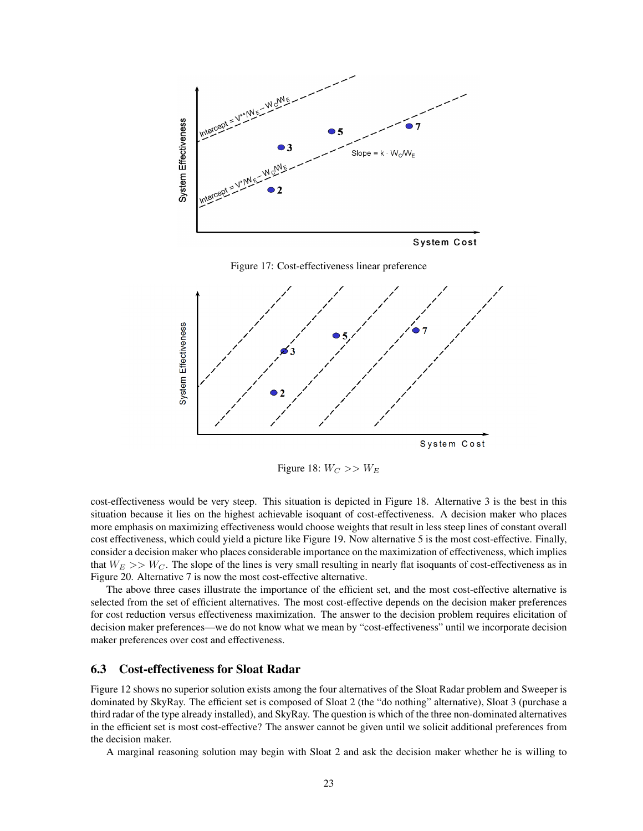

Figure 18:  $W_C >> W_E$ 

cost-effectiveness would be very steep. This situation is depicted in Figure 18. Alternative 3 is the best in this situation because it lies on the highest achievable isoquant of cost-effectiveness. A decision maker who places more emphasis on maximizing effectiveness would choose weights that result in less steep lines of constant overall cost effectiveness, which could yield a picture like Figure 19. Now alternative 5 is the most cost-effective. Finally, consider a decision maker who places considerable importance on the maximization of effectiveness, which implies that  $W_E \gg W_C$ . The slope of the lines is very small resulting in nearly flat isoquants of cost-effectiveness as in Figure 20. Alternative 7 is now the most cost-effective alternative.

The above three cases illustrate the importance of the efficient set, and the most cost-effective alternative is selected from the set of efficient alternatives. The most cost-effective depends on the decision maker preferences for cost reduction versus effectiveness maximization. The answer to the decision problem requires elicitation of decision maker preferences—we do not know what we mean by "cost-effectiveness" until we incorporate decision maker preferences over cost and effectiveness.

### 6.3 Cost-effectiveness for Sloat Radar

Figure 12 shows no superior solution exists among the four alternatives of the Sloat Radar problem and Sweeper is dominated by SkyRay. The efficient set is composed of Sloat 2 (the "do nothing" alternative), Sloat 3 (purchase a third radar of the type already installed), and SkyRay. The question is which of the three non-dominated alternatives in the efficient set is most cost-effective? The answer cannot be given until we solicit additional preferences from the decision maker.

A marginal reasoning solution may begin with Sloat 2 and ask the decision maker whether he is willing to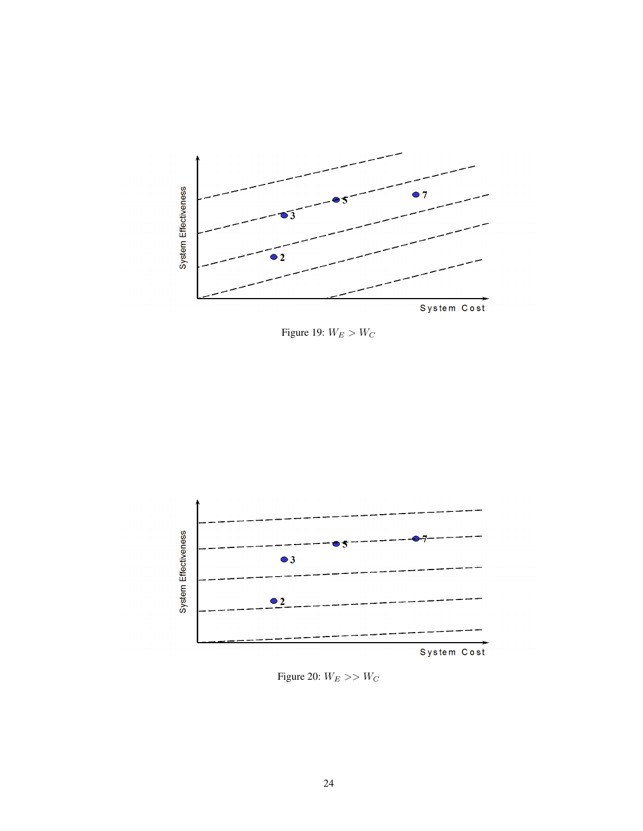

Figure 19:  $W_E > W_C$ 



Figure 20:  $W_E >> W_C$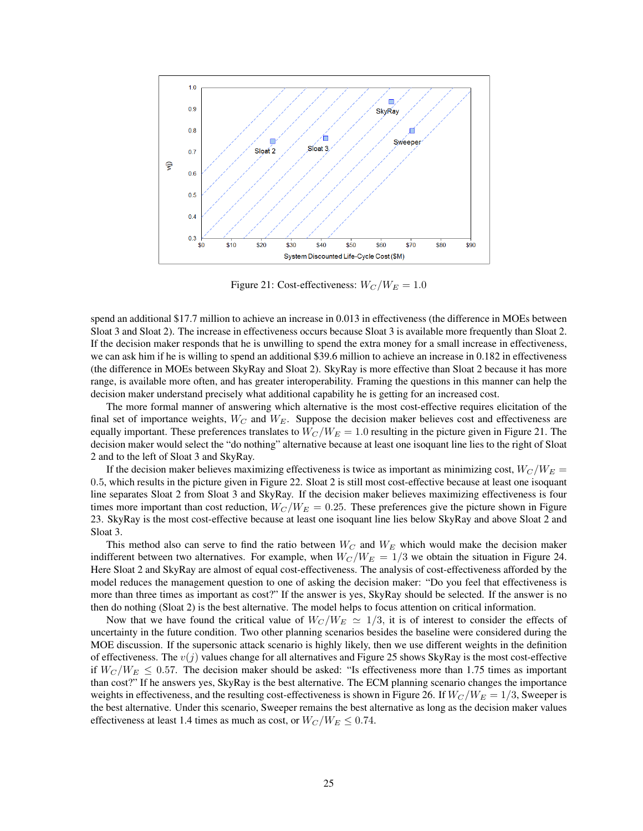

Figure 21: Cost-effectiveness:  $W_C/W_E = 1.0$ 

spend an additional \$17.7 million to achieve an increase in 0.013 in effectiveness (the difference in MOEs between Sloat 3 and Sloat 2). The increase in effectiveness occurs because Sloat 3 is available more frequently than Sloat 2. If the decision maker responds that he is unwilling to spend the extra money for a small increase in effectiveness, we can ask him if he is willing to spend an additional \$39.6 million to achieve an increase in 0.182 in effectiveness (the difference in MOEs between SkyRay and Sloat 2). SkyRay is more effective than Sloat 2 because it has more range, is available more often, and has greater interoperability. Framing the questions in this manner can help the decision maker understand precisely what additional capability he is getting for an increased cost.

The more formal manner of answering which alternative is the most cost-effective requires elicitation of the final set of importance weights,  $W_C$  and  $W_E$ . Suppose the decision maker believes cost and effectiveness are equally important. These preferences translates to  $W_C/W_E = 1.0$  resulting in the picture given in Figure 21. The decision maker would select the "do nothing" alternative because at least one isoquant line lies to the right of Sloat 2 and to the left of Sloat 3 and SkyRay.

If the decision maker believes maximizing effectiveness is twice as important as minimizing cost,  $W_C/W_E$  = 0.5, which results in the picture given in Figure 22. Sloat 2 is still most cost-effective because at least one isoquant line separates Sloat 2 from Sloat 3 and SkyRay. If the decision maker believes maximizing effectiveness is four times more important than cost reduction,  $W_C/W_E = 0.25$ . These preferences give the picture shown in Figure 23. SkyRay is the most cost-effective because at least one isoquant line lies below SkyRay and above Sloat 2 and Sloat 3.

This method also can serve to find the ratio between  $W_C$  and  $W_F$  which would make the decision maker indifferent between two alternatives. For example, when  $W_C/W_E = 1/3$  we obtain the situation in Figure 24. Here Sloat 2 and SkyRay are almost of equal cost-effectiveness. The analysis of cost-effectiveness afforded by the model reduces the management question to one of asking the decision maker: "Do you feel that effectiveness is more than three times as important as cost?" If the answer is yes, SkyRay should be selected. If the answer is no then do nothing (Sloat 2) is the best alternative. The model helps to focus attention on critical information.

Now that we have found the critical value of  $W_C/W_E \simeq 1/3$ , it is of interest to consider the effects of uncertainty in the future condition. Two other planning scenarios besides the baseline were considered during the MOE discussion. If the supersonic attack scenario is highly likely, then we use different weights in the definition of effectiveness. The  $v(j)$  values change for all alternatives and Figure 25 shows SkyRay is the most cost-effective if  $W_C/W_E \leq 0.57$ . The decision maker should be asked: "Is effectiveness more than 1.75 times as important than cost?" If he answers yes, SkyRay is the best alternative. The ECM planning scenario changes the importance weights in effectiveness, and the resulting cost-effectiveness is shown in Figure 26. If  $W_C/W_E = 1/3$ , Sweeper is the best alternative. Under this scenario, Sweeper remains the best alternative as long as the decision maker values effectiveness at least 1.4 times as much as cost, or  $W_C/W_E \leq 0.74$ .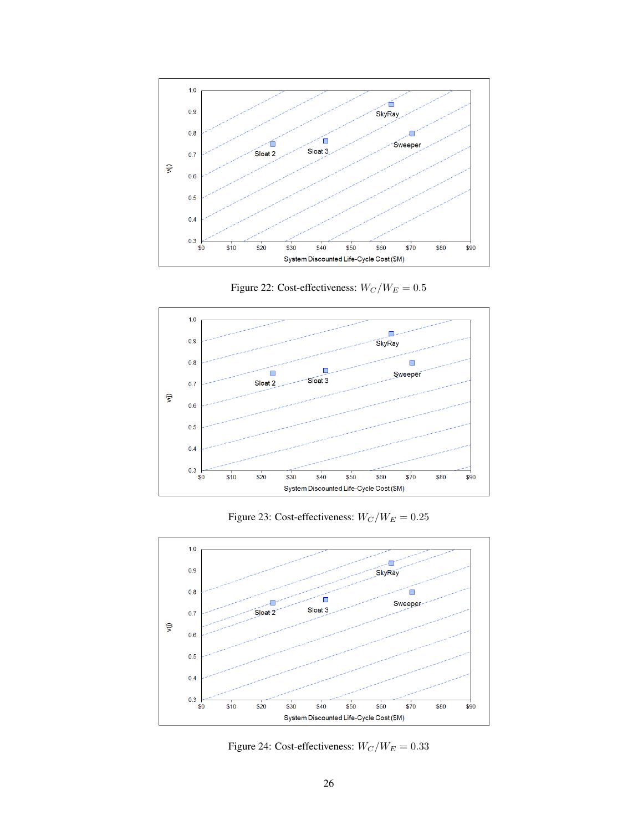





Figure 23: Cost-effectiveness:  $W_C/W_E = 0.25$ 



Figure 24: Cost-effectiveness:  $W_{\mathbb C}/W_{\mathbb B} = 0.33$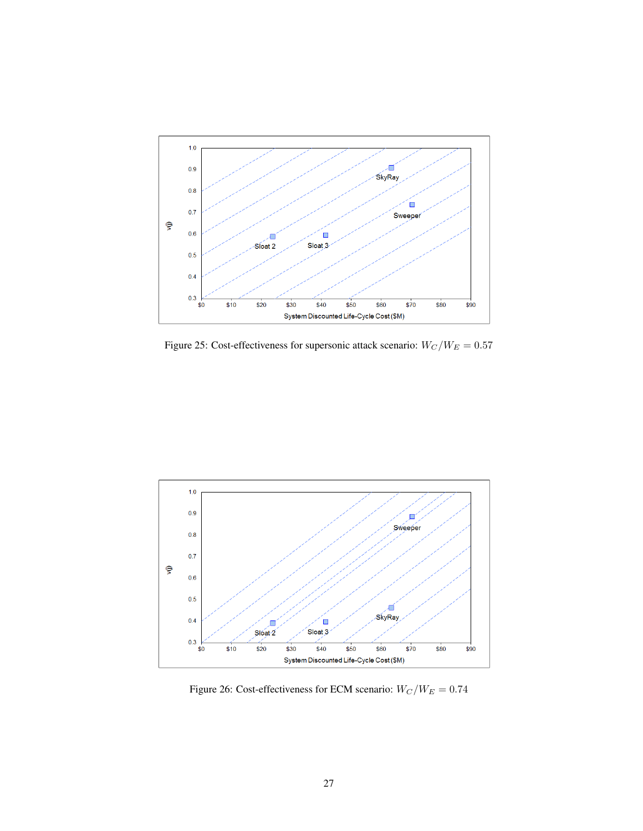

Figure 25: Cost-effectiveness for supersonic attack scenario:  $W_C/W_E=0.57\,$ 



Figure 26: Cost-effectiveness for ECM scenario:  $W_{\mathbb C}/W_{\mathbb B} = 0.74$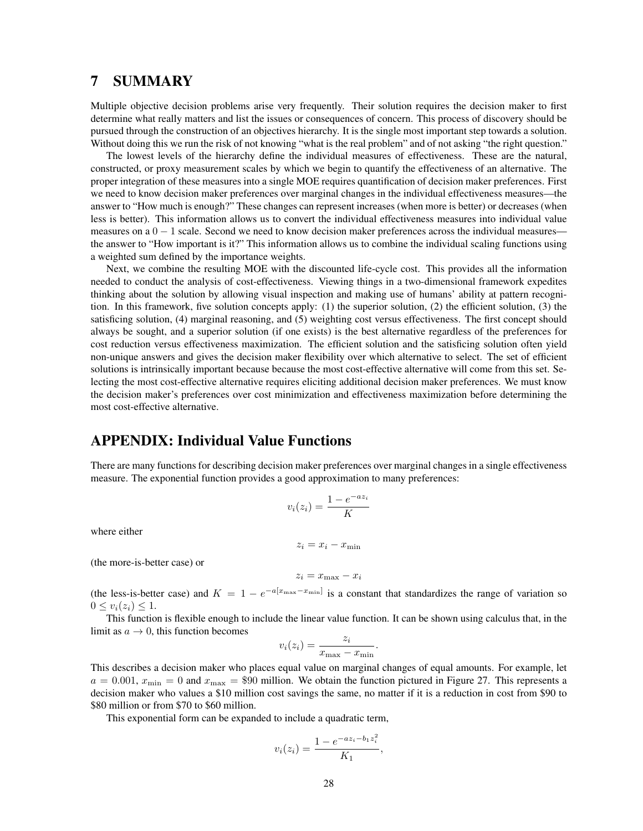### 7 SUMMARY

Multiple objective decision problems arise very frequently. Their solution requires the decision maker to first determine what really matters and list the issues or consequences of concern. This process of discovery should be pursued through the construction of an objectives hierarchy. It is the single most important step towards a solution. Without doing this we run the risk of not knowing "what is the real problem" and of not asking "the right question."

The lowest levels of the hierarchy define the individual measures of effectiveness. These are the natural, constructed, or proxy measurement scales by which we begin to quantify the effectiveness of an alternative. The proper integration of these measures into a single MOE requires quantification of decision maker preferences. First we need to know decision maker preferences over marginal changes in the individual effectiveness measures—the answer to "How much is enough?" These changes can represent increases (when more is better) or decreases (when less is better). This information allows us to convert the individual effectiveness measures into individual value measures on a  $0 - 1$  scale. Second we need to know decision maker preferences across the individual measures the answer to "How important is it?" This information allows us to combine the individual scaling functions using a weighted sum defined by the importance weights.

Next, we combine the resulting MOE with the discounted life-cycle cost. This provides all the information needed to conduct the analysis of cost-effectiveness. Viewing things in a two-dimensional framework expedites thinking about the solution by allowing visual inspection and making use of humans' ability at pattern recognition. In this framework, five solution concepts apply: (1) the superior solution, (2) the efficient solution, (3) the satisficing solution, (4) marginal reasoning, and (5) weighting cost versus effectiveness. The first concept should always be sought, and a superior solution (if one exists) is the best alternative regardless of the preferences for cost reduction versus effectiveness maximization. The efficient solution and the satisficing solution often yield non-unique answers and gives the decision maker flexibility over which alternative to select. The set of efficient solutions is intrinsically important because because the most cost-effective alternative will come from this set. Selecting the most cost-effective alternative requires eliciting additional decision maker preferences. We must know the decision maker's preferences over cost minimization and effectiveness maximization before determining the most cost-effective alternative.

## APPENDIX: Individual Value Functions

There are many functions for describing decision maker preferences over marginal changes in a single effectiveness measure. The exponential function provides a good approximation to many preferences:

$$
v_i(z_i) = \frac{1 - e^{-az_i}}{K}
$$

where either

 $z_i = x_i - x_{\min}$ 

(the more-is-better case) or

$$
z_i = x_{\max} - x_i
$$

(the less-is-better case) and  $K = 1 - e^{-a[x_{\text{max}} - x_{\text{min}}]}$  is a constant that standardizes the range of variation so  $0 \le v_i(z_i) \le 1.$ 

This function is flexible enough to include the linear value function. It can be shown using calculus that, in the limit as  $a \to 0$ , this function becomes

$$
v_i(z_i) = \frac{z_i}{x_{\text{max}} - x_{\text{min}}}.
$$

This describes a decision maker who places equal value on marginal changes of equal amounts. For example, let  $a = 0.001$ ,  $x_{\text{min}} = 0$  and  $x_{\text{max}} = $90$  million. We obtain the function pictured in Figure 27. This represents a decision maker who values a \$10 million cost savings the same, no matter if it is a reduction in cost from \$90 to \$80 million or from \$70 to \$60 million.

This exponential form can be expanded to include a quadratic term,

$$
v_i(z_i) = \frac{1 - e^{-az_i - b_1 z_i^2}}{K_1},
$$